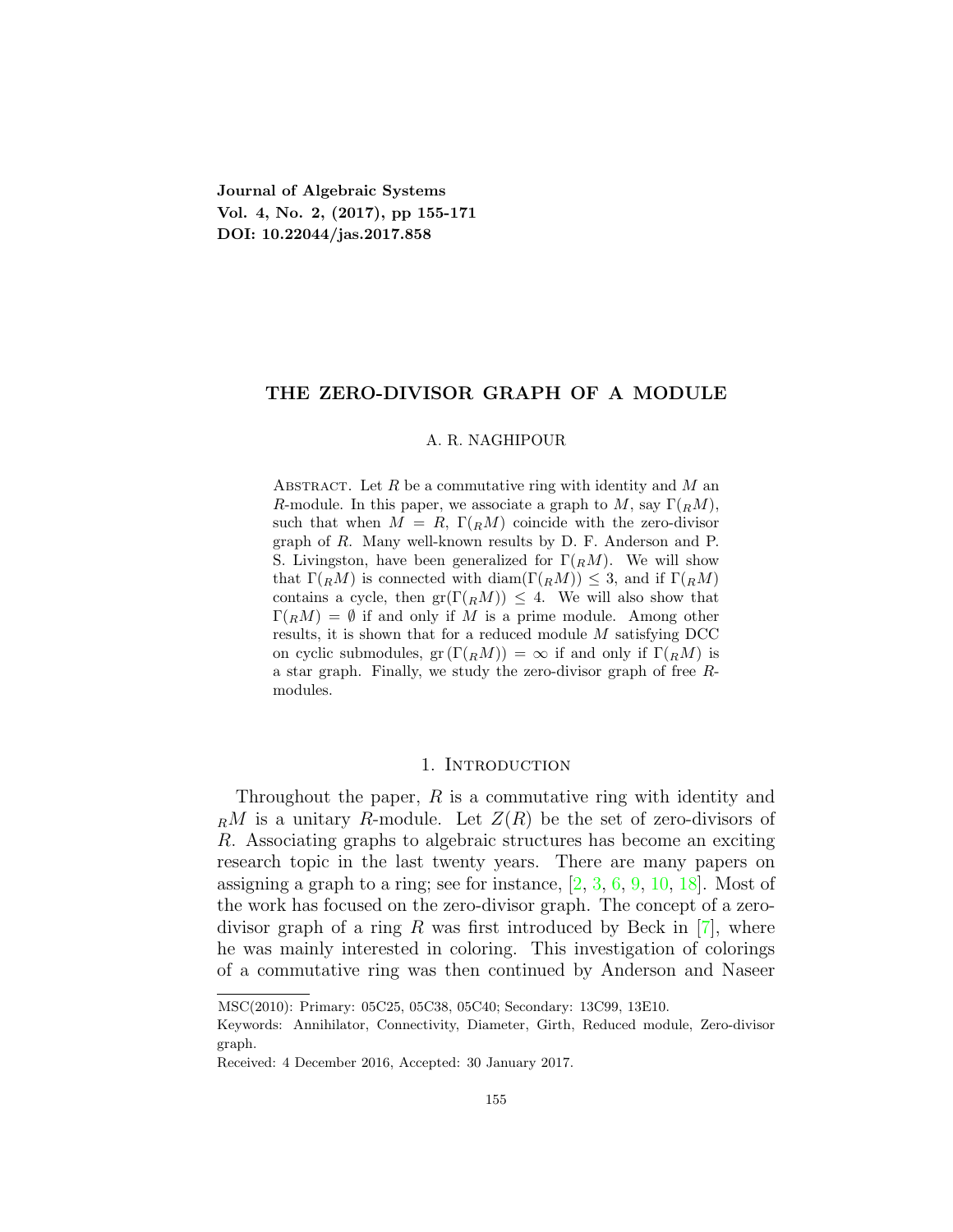**Journal of Algebraic Systems Vol. 4, No. 2, (2017), pp 155-171 DOI: 10.22044/jas.2017.858**

# **THE ZERO-DIVISOR GRAPH OF A MODULE**

# A. R. NAGHIPOUR

Abstract. Let *R* be a commutative ring with identity and *M* an *R*-module. In this paper, we associate a graph to *M*, say  $\Gamma(RM)$ , such that when  $M = R$ ,  $\Gamma(RM)$  coincide with the zero-divisor graph of *R*. Many well-known results by D. F. Anderson and P. S. Livingston, have been generalized for  $\Gamma(R_M)$ . We will show that  $\Gamma(RM)$  is connected with diam( $\Gamma(RM) \leq 3$ , and if  $\Gamma(RM)$ contains a cycle, then  $gr(\Gamma(RM)) \leq 4$ . We will also show that  $\Gamma(RM) = \emptyset$  if and only if M is a prime module. Among other results, it is shown that for a reduced module *M* satisfying DCC on cyclic submodules,  $gr(\Gamma({}_R{M})) = \infty$  if and only if  $\Gamma({}_R{M})$  is a star graph. Finally, we study the zero-divisor graph of free *R*modules.

# 1. INTRODUCTION

Throughout the paper, *R* is a commutative ring with identity and  $_R M$  is a unitary *R*-module. Let  $Z(R)$  be the set of zero-divisors of *R*. Associating graphs to algebraic structures has become an exciting research topic in the last twenty years. There are many papers on assigning a graph to a ring; see for instance,  $[2, 3, 6, 9, 10, 18]$  $[2, 3, 6, 9, 10, 18]$  $[2, 3, 6, 9, 10, 18]$  $[2, 3, 6, 9, 10, 18]$  $[2, 3, 6, 9, 10, 18]$  $[2, 3, 6, 9, 10, 18]$  $[2, 3, 6, 9, 10, 18]$  $[2, 3, 6, 9, 10, 18]$  $[2, 3, 6, 9, 10, 18]$  $[2, 3, 6, 9, 10, 18]$  $[2, 3, 6, 9, 10, 18]$ . Most of the work has focused on the zero-divisor graph. The concept of a zerodivisor graph of a ring *R* was first introduced by Beck in[[7](#page-16-4)], where he was mainly interested in coloring. This investigation of colorings of a commutative ring was then continued by Anderson and Naseer

MSC(2010): Primary: 05C25, 05C38, 05C40; Secondary: 13C99, 13E10.

Keywords: Annihilator, Connectivity, Diameter, Girth, Reduced module, Zero-divisor graph.

Received: 4 December 2016, Accepted: 30 January 2017.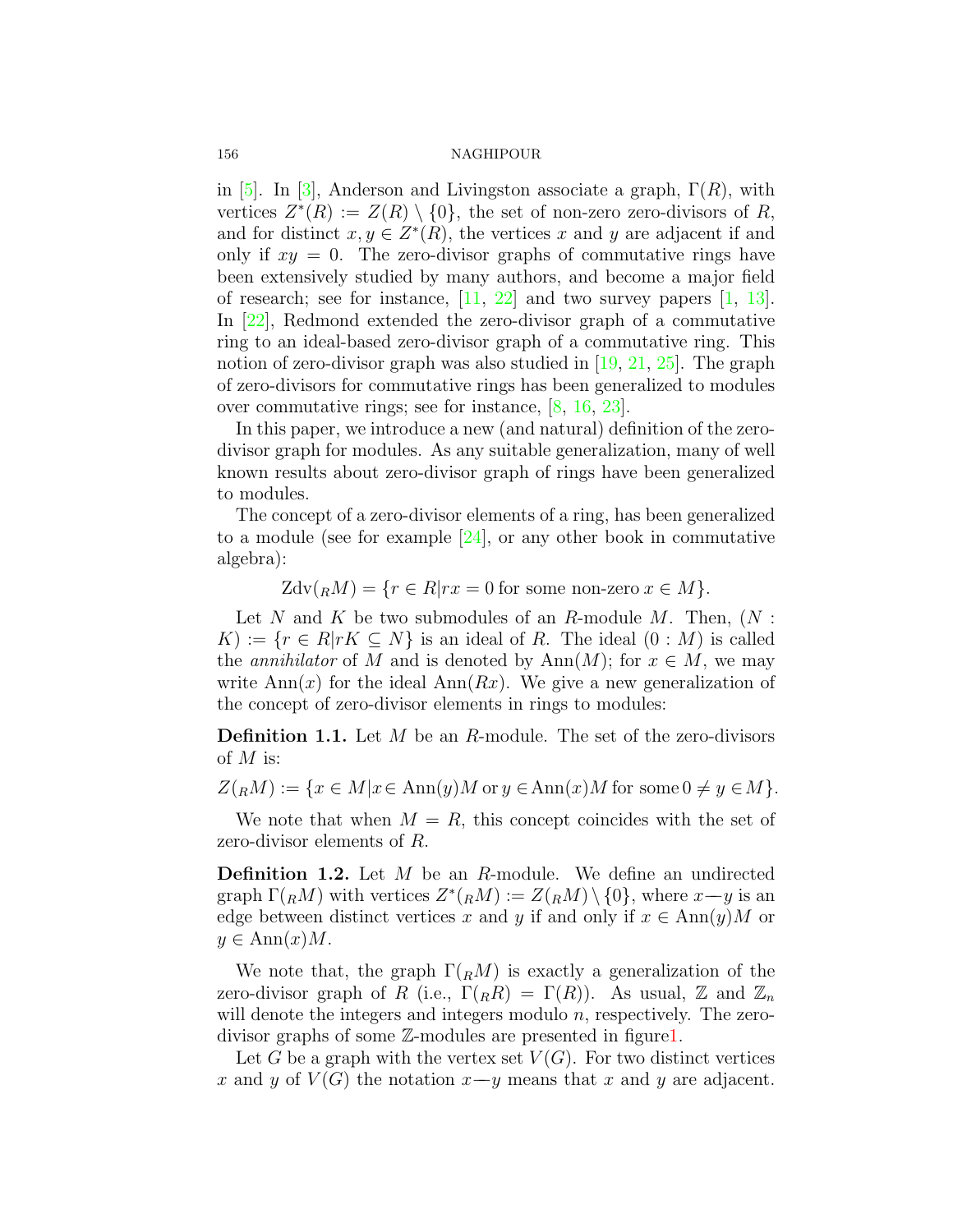in[[5\]](#page-16-5). In [\[3](#page-15-1)], Anderson and Livingston associate a graph, Γ(*R*), with vertices  $Z^*(R) := Z(R) \setminus \{0\}$ , the set of non-zero zero-divisors of R, and for distinct  $x, y \in Z^*(R)$ , the vertices *x* and *y* are adjacent if and only if  $xy = 0$ . The zero-divisor graphs of commutative rings have been extensively studied by many authors, and become a major field ofresearch; see for instance,  $[11, 22]$  $[11, 22]$  $[11, 22]$  $[11, 22]$  and two survey papers  $[1, 13]$  $[1, 13]$  $[1, 13]$  $[1, 13]$ . In[[22](#page-16-7)], Redmond extended the zero-divisor graph of a commutative ring to an ideal-based zero-divisor graph of a commutative ring. This notion of zero-divisor graph was also studied in [\[19](#page-16-9), [21](#page-16-10), [25\]](#page-16-11). The graph of zero-divisors for commutative rings has been generalized to modules over commutative rings; see for instance, [\[8](#page-16-12), [16,](#page-16-13) [23\]](#page-16-14).

In this paper, we introduce a new (and natural) definition of the zerodivisor graph for modules. As any suitable generalization, many of well known results about zero-divisor graph of rings have been generalized to modules.

The concept of a zero-divisor elements of a ring, has been generalized toa module (see for example  $[24]$  $[24]$ , or any other book in commutative algebra):

 $Zdv({}_RM) = {r \in R | rx = 0 \text{ for some non-zero } x \in M}.$ 

Let *N* and *K* be two submodules of an *R*-module *M*. Then, (*N* :  $K := \{r \in R | rK \subseteq N\}$  is an ideal of *R*. The ideal  $(0 : M)$  is called the *annihilator* of *M* and is denoted by  $\text{Ann}(M)$ ; for  $x \in M$ , we may write  $\text{Ann}(x)$  for the ideal  $\text{Ann}(Rx)$ . We give a new generalization of the concept of zero-divisor elements in rings to modules:

**Definition 1.1.** Let *M* be an *R*-module. The set of the zero-divisors of *M* is:

 $Z({}_RM) := \{x \in M | x \in Ann(y)M \text{ or } y \in Ann(x)M \text{ for some } 0 \neq y \in M\}.$ 

We note that when  $M = R$ , this concept coincides with the set of zero-divisor elements of *R*.

**Definition 1.2.** Let *M* be an *R*-module. We define an undirected  $\operatorname{graph} \Gamma(RM)$  with vertices  $Z^*(R^M) := Z(R^M) \setminus \{0\}$ , where  $x \rightarrow y$  is an edge between distinct vertices x and y if and only if  $x \in Ann(y)M$  or  $y \in \text{Ann}(x)M$ .

We note that, the graph  $\Gamma(RM)$  is exactly a generalization of the zero-divisor graph of *R* (i.e.,  $\Gamma(R) = \Gamma(R)$ ). As usual, Z and  $\mathbb{Z}_n$ will denote the integers and integers modulo *n*, respectively. The zerodivisor graphs of some Z-modules are presented in figure[1.](#page-2-0)

Let *G* be a graph with the vertex set  $V(G)$ . For two distinct vertices *x* and *y* of  $V(G)$  the notation  $x-y$  means that *x* and *y* are adjacent.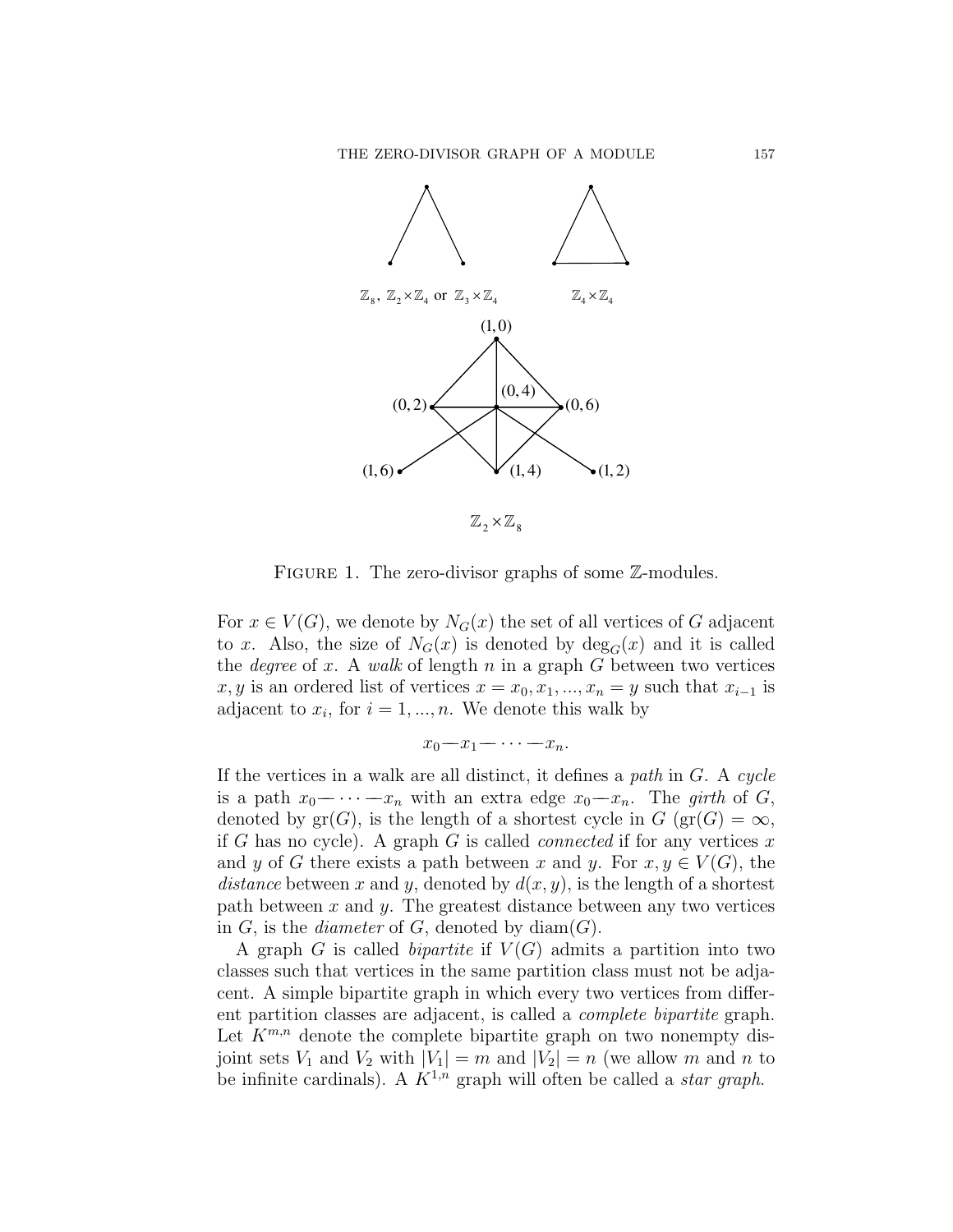

<span id="page-2-0"></span>FIGURE 1. The zero-divisor graphs of some  $\mathbb{Z}$ -modules.

For  $x \in V(G)$ , we denote by  $N_G(x)$  the set of all vertices of *G* adjacent to *x*. Also, the size of  $N_G(x)$  is denoted by  $deg_G(x)$  and it is called the *degree* of *x*. A *walk* of length *n* in a graph *G* between two vertices  $x, y$  is an ordered list of vertices  $x = x_0, x_1, \ldots, x_n = y$  such that  $x_{i-1}$  is adjacent to  $x_i$ , for  $i = 1, ..., n$ . We denote this walk by

$$
x_0-x_1-\cdots-x_n.
$$

If the vertices in a walk are all distinct, it defines a *path* in *G*. A *cycle* is a path  $x_0$ − $\cdots$ − $x_n$  with an extra edge  $x_0$ − $x_n$ . The *girth* of *G*, denoted by  $\text{gr}(G)$ , is the length of a shortest cycle in  $G$  ( $\text{gr}(G) = \infty$ , if *G* has no cycle). A graph *G* is called *connected* if for any vertices *x* and *y* of *G* there exists a path between *x* and *y*. For  $x, y \in V(G)$ , the *distance* between *x* and *y*, denoted by  $d(x, y)$ , is the length of a shortest path between *x* and *y*. The greatest distance between any two vertices in  $G$ , is the *diameter* of  $G$ , denoted by  $diam(G)$ .

A graph *G* is called *bipartite* if *V* (*G*) admits a partition into two classes such that vertices in the same partition class must not be adjacent. A simple bipartite graph in which every two vertices from different partition classes are adjacent, is called a *complete bipartite* graph. Let  $K^{m,n}$  denote the complete bipartite graph on two nonempty disjoint sets  $V_1$  and  $V_2$  with  $|V_1| = m$  and  $|V_2| = n$  (we allow m and n to be infinite cardinals). A  $K^{1,n}$  graph will often be called a *star graph*.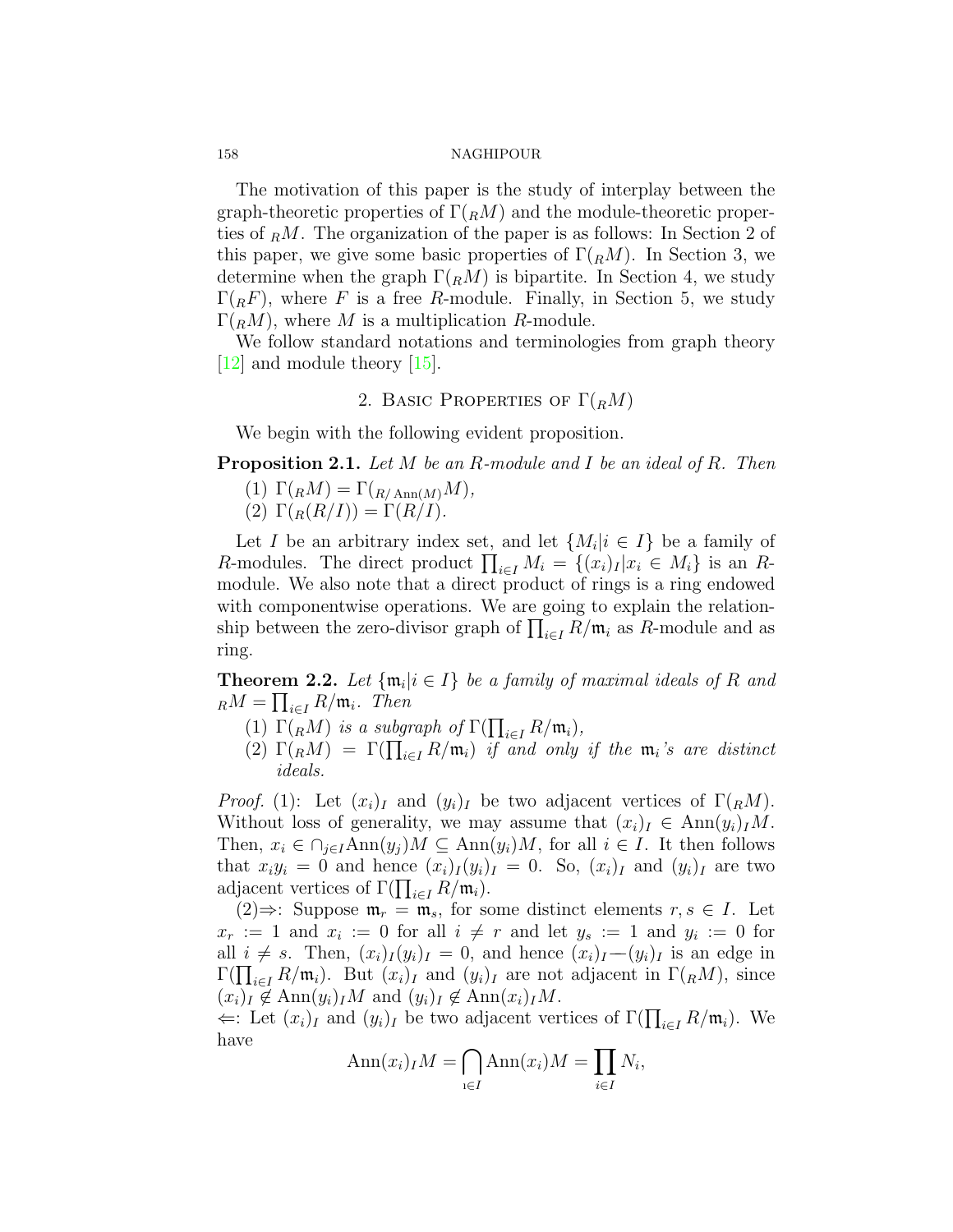The motivation of this paper is the study of interplay between the graph-theoretic properties of Γ(*RM*) and the module-theoretic properties of *<sup>R</sup>M*. The organization of the paper is as follows: In Section 2 of this paper, we give some basic properties of  $\Gamma(RM)$ . In Section 3, we determine when the graph  $\Gamma({}_R M)$  is bipartite. In Section 4, we study  $\Gamma(RF)$ , where *F* is a free *R*-module. Finally, in Section 5, we study  $\Gamma(RM)$ , where M is a multiplication R-module.

We follow standard notations and terminologies from graph theory [[12](#page-16-16)] and module theory[[15](#page-16-17)].

# 2. BASIC PROPERTIES OF  $\Gamma(RM)$

We begin with the following evident proposition.

**Proposition 2.1.** *Let M be an R-module and I be an ideal of R. Then*

 $(T) \Gamma(RM) = \Gamma(R_{A \text{nn}(M)}M)$ 

(2)  $\Gamma(R(R/I)) = \Gamma(R/I)$ *.* 

Let *I* be an arbitrary index set, and let  $\{M_i | i \in I\}$  be a family of *R*-modules. The direct product  $\prod_{i \in I} M_i = \{(x_i)_I | x_i \in M_i\}$  is an *R*module. We also note that a direct product of rings is a ring endowed with componentwise operations. We are going to explain the relationship between the zero-divisor graph of  $\prod_{i \in I} R/\mathfrak{m}_i$  as *R*-module and as ring.

**Theorem 2.2.** Let  $\{\mathfrak{m}_i | i \in I\}$  be a family of maximal ideals of R and  $_R M = \prod_{i \in I} R/\mathfrak{m}_i$ *. Then* 

- (1)  $\Gamma(RM)$  *is a subgraph of*  $\Gamma(\prod_{i\in I} R/\mathfrak{m}_i)$ ,
- (2)  $\Gamma(RM) = \Gamma(\prod_{i \in I} R/\mathfrak{m}_i)$  *if and only if the*  $\mathfrak{m}_i$ *'s are distinct ideals.*

*Proof.* (1): Let  $(x_i)_I$  and  $(y_i)_I$  be two adjacent vertices of  $\Gamma(RM)$ . Without loss of generality, we may assume that  $(x_i)_I \in \text{Ann}(y_i)_I M$ . Then,  $x_i \in \bigcap_{j \in I} \text{Ann}(y_j)M \subseteq \text{Ann}(y_i)M$ , for all  $i \in I$ . It then follows that  $x_i y_i = 0$  and hence  $(x_i)_I (y_i)_I = 0$ . So,  $(x_i)_I$  and  $(y_i)_I$  are two adjacent vertices of  $\Gamma(\prod_{i \in I} R/\mathfrak{m}_i)$ .

(2)⇒: Suppose  $\mathfrak{m}_r = \mathfrak{m}_s$ , for some distinct elements  $r, s \in I$ . Let  $x_r := 1$  and  $x_i := 0$  for all  $i \neq r$  and let  $y_s := 1$  and  $y_i := 0$  for all  $i \neq s$ . Then,  $(x_i)_I(y_i)_I = 0$ , and hence  $(x_i)_I - (y_i)_I$  is an edge in  $\Gamma(\prod_{i\in I} R/\mathfrak{m}_i)$ . But  $(x_i)_I$  and  $(y_i)_I$  are not adjacent in  $\Gamma(RM)$ , since  $(x_i)_I \notin \text{Ann}(y_i)_I M$  and  $(y_i)_I \notin \text{Ann}(x_i)_I M$ .

 $\Leftarrow$ : Let  $(x_i)_I$  and  $(y_i)_I$  be two adjacent vertices of  $\Gamma(\prod_{i \in I} R/\mathfrak{m}_i)$ . We have

$$
Ann(x_i)_I M = \bigcap_{i \in I} Ann(x_i)M = \prod_{i \in I} N_i,
$$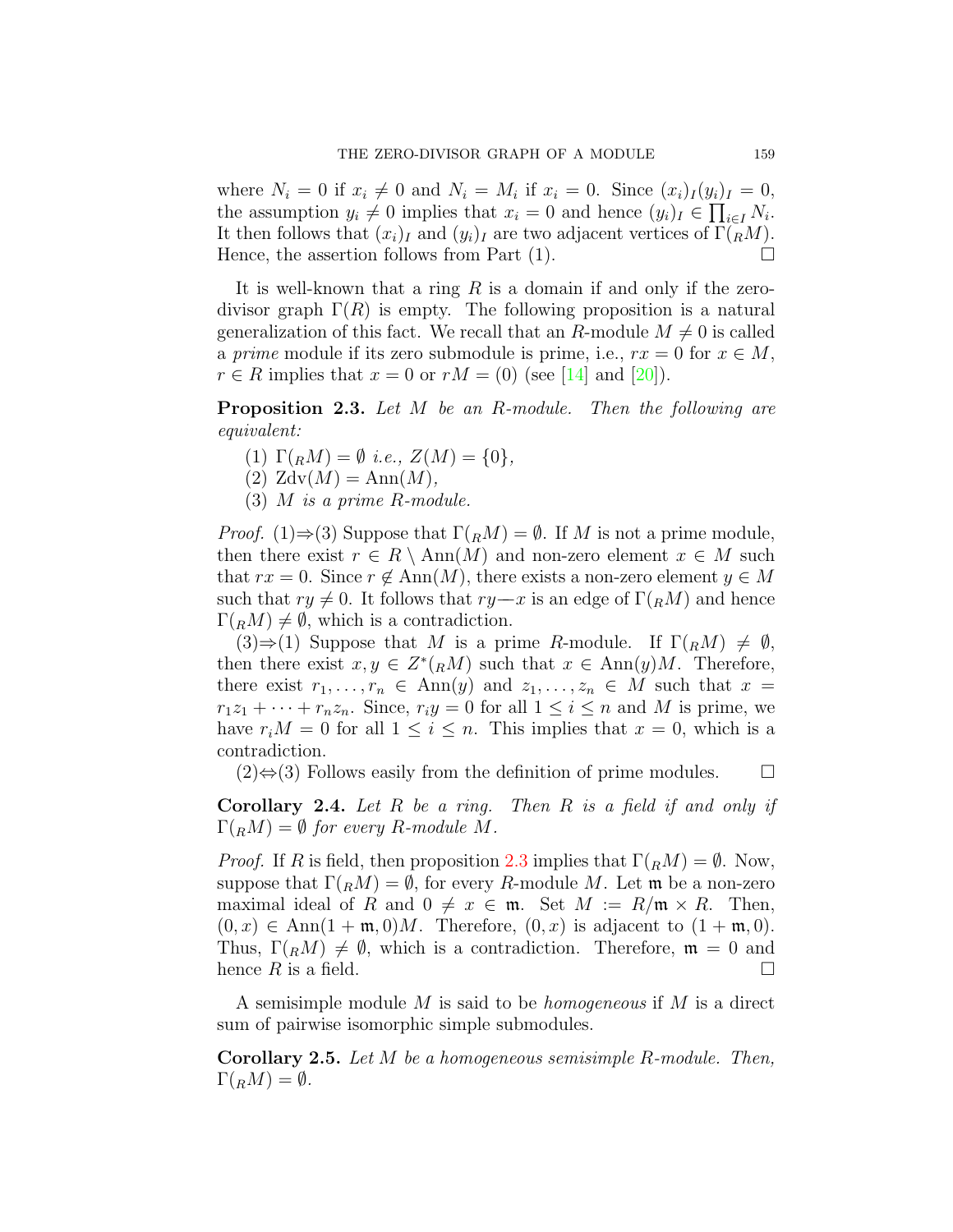where  $N_i = 0$  if  $x_i \neq 0$  and  $N_i = M_i$  if  $x_i = 0$ . Since  $(x_i)_I(y_i)_I = 0$ , the assumption  $y_i \neq 0$  implies that  $x_i = 0$  and hence  $(y_i)_I \in \prod_{i \in I} N_i$ . It then follows that  $(x_i)_I$  and  $(y_i)_I$  are two adjacent vertices of  $\Gamma(RM)$ . Hence, the assertion follows from Part  $(1)$ .

It is well-known that a ring *R* is a domain if and only if the zerodivisor graph  $\Gamma(R)$  is empty. The following proposition is a natural generalization of this fact. We recall that an *R*-module  $M \neq 0$  is called a *prime* module if its zero submodule is prime, i.e.,  $rx = 0$  for  $x \in M$ , *r*∈ *R* implies that  $x = 0$  or  $rM = (0)$  (see [[14](#page-16-18)] and [[20](#page-16-19)]).

<span id="page-4-0"></span>**Proposition 2.3.** *Let M be an R-module. Then the following are equivalent:*

- $(1) \Gamma(RM) = \emptyset$  *i.e.*,  $Z(M) = \{0\},$
- $(2)$  Zdv $(M) = Ann(M)$ ,
- (3) *M is a prime R-module.*

*Proof.* (1) $\Rightarrow$  (3) Suppose that  $\Gamma(RM) = \emptyset$ . If *M* is not a prime module, then there exist  $r \in R \setminus \text{Ann}(M)$  and non-zero element  $x \in M$  such that  $rx = 0$ . Since  $r \notin Ann(M)$ , there exists a non-zero element  $y \in M$ such that  $ry \neq 0$ . It follows that  $ry-x$  is an edge of  $\Gamma(RM)$  and hence  $\Gamma(RM) \neq \emptyset$ , which is a contradiction.

 $(3) \Rightarrow (1)$  Suppose that *M* is a prime *R*-module. If  $\Gamma(rM) \neq \emptyset$ , then there exist  $x, y \in Z^*(R^M)$  such that  $x \in Ann(y)M$ . Therefore, there exist  $r_1, \ldots, r_n \in Ann(y)$  and  $z_1, \ldots, z_n \in M$  such that  $x =$  $r_1z_1 + \cdots + r_nz_n$ . Since,  $r_iy = 0$  for all  $1 \leq i \leq n$  and *M* is prime, we have  $r_i M = 0$  for all  $1 \leq i \leq n$ . This implies that  $x = 0$ , which is a contradiction.

 $(2) \Leftrightarrow (3)$  Follows easily from the definition of prime modules.  $\Box$ 

**Corollary 2.4.** *Let R be a ring. Then R is a field if and only if*  $\Gamma(RM) = \emptyset$  *for every R*-module *M*.

*Proof.* If *R* is field, then proposition [2.3](#page-4-0) implies that  $\Gamma(RM) = \emptyset$ . Now, suppose that  $\Gamma(RM) = \emptyset$ , for every *R*-module *M*. Let **m** be a non-zero maximal ideal of *R* and  $0 \neq x \in \mathfrak{m}$ . Set  $M := R/\mathfrak{m} \times R$ . Then,  $(0, x) \in \text{Ann}(1 + \mathfrak{m}, 0)M$ . Therefore,  $(0, x)$  is adjacent to  $(1 + \mathfrak{m}, 0)$ . Thus,  $\Gamma(RM) \neq \emptyset$ , which is a contradiction. Therefore,  $\mathfrak{m} = 0$  and hence  $R$  is a field.  $\square$ 

A semisimple module *M* is said to be *homogeneous* if *M* is a direct sum of pairwise isomorphic simple submodules.

**Corollary 2.5.** *Let M be a homogeneous semisimple R-module. Then,*  $\Gamma({}_R M) = \emptyset$ .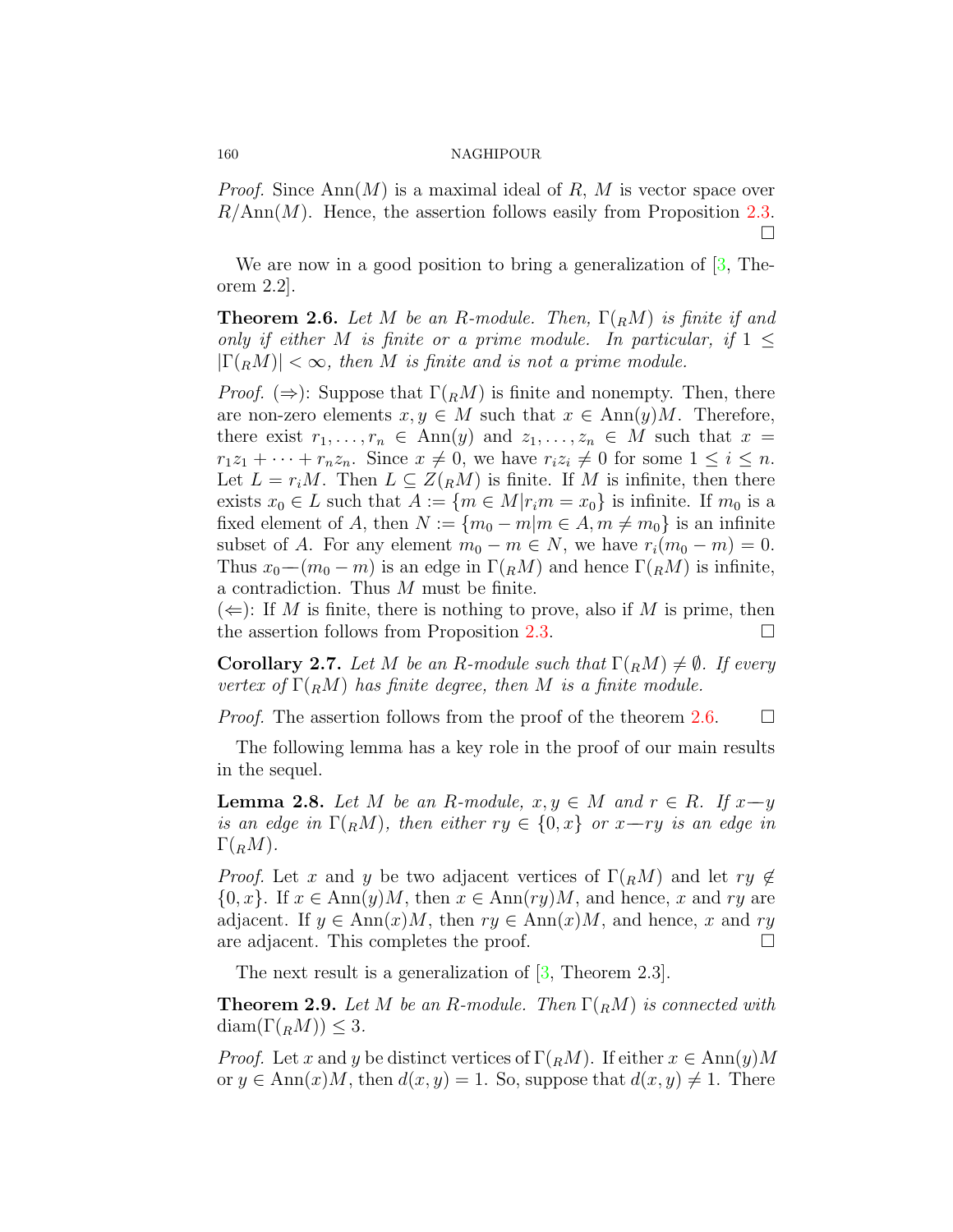*Proof.* Since Ann(*M*) is a maximal ideal of *R*, *M* is vector space over *R/*Ann(*M*). Hence, the assertion follows easily from Proposition [2.3.](#page-4-0) □

Weare now in a good position to bring a generalization of  $[3,$  $[3,$  Theorem 2.2].

<span id="page-5-0"></span>**Theorem 2.6.** *Let M be an R-module. Then,* Γ(*RM*) *is finite if and only if either M is finite or a prime module. In particular, if*  $1 \leq$  $|\Gamma(RM)| < \infty$ , then *M* is finite and is not a prime module.

*Proof.* ( $\Rightarrow$ ): Suppose that  $\Gamma(RM)$  is finite and nonempty. Then, there are non-zero elements  $x, y \in M$  such that  $x \in Ann(y)M$ . Therefore, there exist  $r_1, \ldots, r_n \in Ann(y)$  and  $z_1, \ldots, z_n \in M$  such that  $x =$  $r_1z_1 + \cdots + r_nz_n$ . Since  $x \neq 0$ , we have  $r_iz_i \neq 0$  for some  $1 \leq i \leq n$ . Let  $L = r_i M$ . Then  $L \subseteq Z({}_R M)$  is finite. If M is infinite, then there exists  $x_0 \in L$  such that  $A := \{m \in M | r_i m = x_0\}$  is infinite. If  $m_0$  is a fixed element of *A*, then  $N := \{m_0 - m | m \in A, m \neq m_0\}$  is an infinite subset of *A*. For any element  $m_0 - m \in N$ , we have  $r_i(m_0 - m) = 0$ . Thus  $x_0$ − $(m_0 - m)$  is an edge in  $\Gamma(RM)$  and hence  $\Gamma(RM)$  is infinite, a contradiction. Thus *M* must be finite.

 $(\Leftarrow)$ : If *M* is finite, there is nothing to prove, also if *M* is prime, then the assertion follows from Proposition [2.3.](#page-4-0)  $\Box$ 

**Corollary 2.7.** *Let M be an R*-module such that  $\Gamma(RM) \neq \emptyset$ *. If every vertex of*  $\Gamma$ ( $_R$ *M*) *has finite degree, then M is a finite module.* 

*Proof.* The assertion follows from the proof of the theorem [2.6](#page-5-0).  $\Box$ 

The following lemma has a key role in the proof of our main results in the sequel.

<span id="page-5-1"></span>**Lemma 2.8.** *Let M be an R*-module,  $x, y \in M$  *and*  $r \in R$ *. If*  $x \rightarrow y$ *is an edge in*  $\Gamma(RM)$ *, then either*  $ry \in \{0, x\}$  *or*  $x$ —*ry is an edge in*  $\Gamma(RM)$ .

*Proof.* Let *x* and *y* be two adjacent vertices of  $\Gamma(RM)$  and let  $ry \notin$  $\{0, x\}$ . If  $x \in Ann(y)M$ , then  $x \in Ann(ry)M$ , and hence, *x* and *ry* are adjacent. If  $y \in Ann(x)M$ , then  $ry \in Ann(x)M$ , and hence, x and ry are adjacent. This completes the proof.  $\Box$ 

The next result is a generalization of [\[3](#page-15-1), Theorem 2.3].

**Theorem 2.9.** *Let M be an R-module. Then* Γ(*RM*) *is connected with*  $\text{diam}(\Gamma(RM)) \leq 3$ .

*Proof.* Let *x* and *y* be distinct vertices of  $\Gamma(RM)$ . If either  $x \in Ann(y)M$ or  $y \in Ann(x)M$ , then  $d(x, y) = 1$ . So, suppose that  $d(x, y) \neq 1$ . There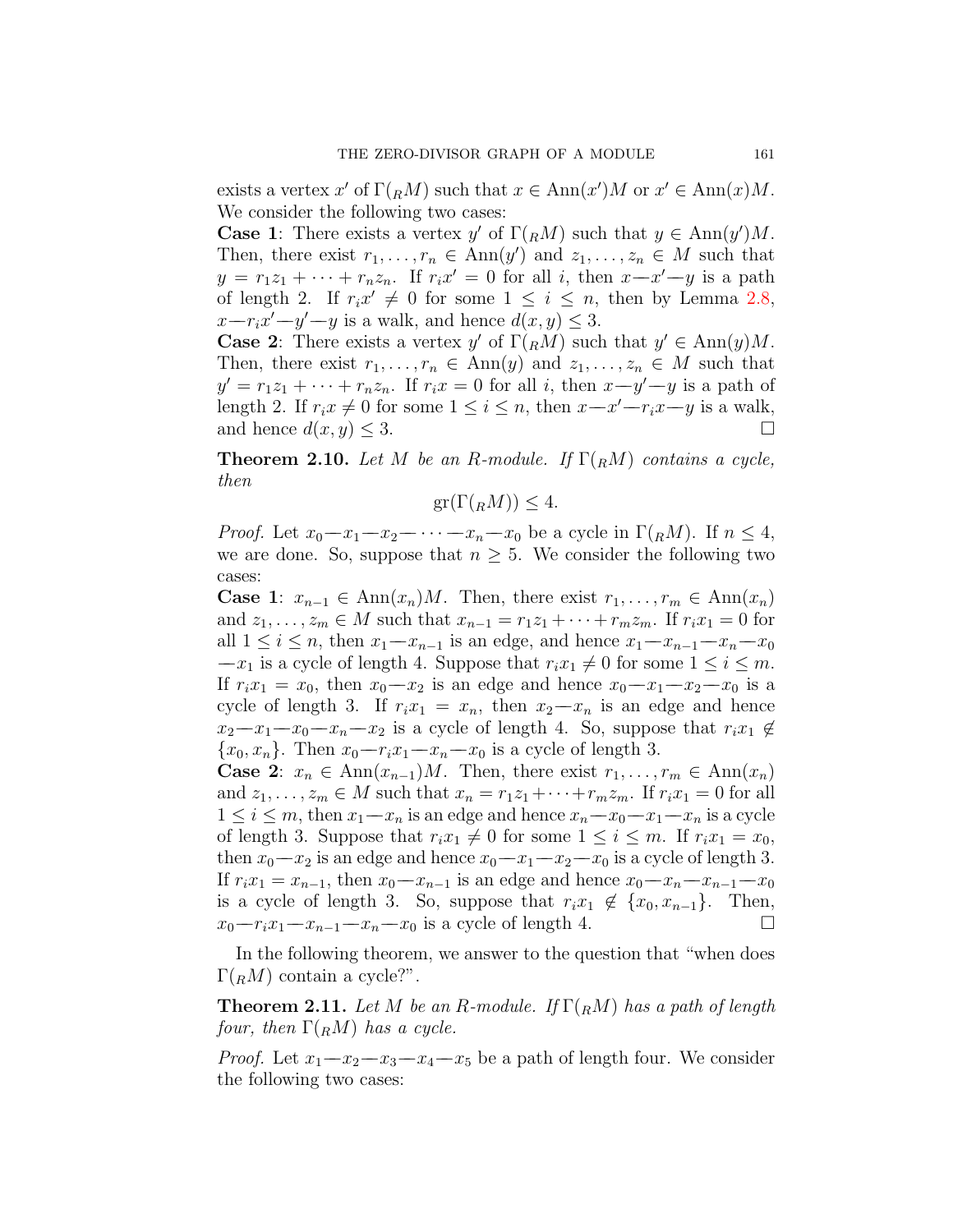exists a vertex  $x'$  of  $\Gamma(RM)$  such that  $x \in Ann(x')M$  or  $x' \in Ann(x)M$ . We consider the following two cases:

**Case 1**: There exists a vertex *y'* of  $\Gamma(RM)$  such that  $y \in Ann(y')M$ . Then, there exist  $r_1, \ldots, r_n \in \text{Ann}(y')$  and  $z_1, \ldots, z_n \in M$  such that  $y = r_1z_1 + \cdots + r_nz_n$ . If  $r_ix' = 0$  for all *i*, then  $x-x'-y$  is a path of length 2. If  $r_i x' \neq 0$  for some  $1 \leq i \leq n$ , then by Lemma [2.8,](#page-5-1)  $x-r_ix'-y'-y$  is a walk, and hence  $d(x,y) \leq 3$ .

**Case 2**: There exists a vertex *y'* of  $\Gamma$ (*RM*) such that  $y' \in Ann(y)M$ . Then, there exist  $r_1, \ldots, r_n \in Ann(y)$  and  $z_1, \ldots, z_n \in M$  such that  $y' = r_1z_1 + \cdots + r_nz_n$ . If  $r_ix = 0$  for all *i*, then  $x-y'-y$  is a path of length 2. If  $r_i x \neq 0$  for some  $1 \leq i \leq n$ , then  $x-x'-r_i x-y$  is a walk, and hence  $d(x, y) \leq 3$ .

**Theorem 2.10.** *Let M be an R*-module. If  $\Gamma(RM)$  *contains a cycle, then*

$$
\operatorname{gr}(\Gamma({}_R M)) \le 4.
$$

*Proof.* Let  $x_0 - x_1 - x_2 - \cdots - x_n - x_0$  be a cycle in  $\Gamma(RM)$ . If  $n \leq 4$ , we are done. So, suppose that  $n \geq 5$ . We consider the following two cases:

**Case 1**:  $x_{n-1} \in \text{Ann}(x_n)M$ . Then, there exist  $r_1, \ldots, r_m \in \text{Ann}(x_n)$ and  $z_1, \ldots, z_m \in M$  such that  $x_{n-1} = r_1 z_1 + \cdots + r_m z_m$ . If  $r_i x_1 = 0$  for all  $1 \leq i \leq n$ , then  $x_1 - x_{n-1}$  is an edge, and hence  $x_1 - x_{n-1} - x_n - x_0$  $-x_1$  is a cycle of length 4. Suppose that  $r_i x_1 \neq 0$  for some  $1 \leq i \leq m$ . If  $r_i x_1 = x_0$ , then  $x_0 - x_2$  is an edge and hence  $x_0 - x_1 - x_2 - x_0$  is a cycle of length 3. If  $r_i x_1 = x_n$ , then  $x_2 - x_n$  is an edge and hence  $x_2-x_1-x_0-x_n-x_2$  is a cycle of length 4. So, suppose that  $r_ix_1 \notin$ *{x*0*, xn}*. Then *x*0*−−rix*1*−−xn−−x*<sup>0</sup> is a cycle of length 3.

**Case 2**:  $x_n \in \text{Ann}(x_{n-1})M$ . Then, there exist  $r_1, \ldots, r_m \in \text{Ann}(x_n)$ and  $z_1, \ldots, z_m \in M$  such that  $x_n = r_1z_1 + \cdots + r_mz_m$ . If  $r_ix_1 = 0$  for all 1 ≤ *i* ≤ *m*, then  $x_1 - x_n$  is an edge and hence  $x_n - x_0 - x_1 - x_n$  is a cycle of length 3. Suppose that  $r_i x_1 \neq 0$  for some  $1 \leq i \leq m$ . If  $r_i x_1 = x_0$ , then  $x_0 - x_2$  is an edge and hence  $x_0 - x_1 - x_2 - x_0$  is a cycle of length 3. If  $r_i x_1 = x_{n-1}$ , then  $x_0 - x_{n-1}$  is an edge and hence  $x_0 - x_n - x_{n-1} - x_0$ is a cycle of length 3. So, suppose that  $r_i x_1 \notin \{x_0, x_{n-1}\}$ . Then,  $x_0-r_i x_1-x_{n-1}-x_n-x_0$  is a cycle of length 4. □  $x_0-r_ix_1-x_{n-1}-x_n-x_0$  is a cycle of length 4.

In the following theorem, we answer to the question that "when does  $\Gamma({}_R M)$  contain a cycle?".

**Theorem 2.11.** *Let M be an R-module. If*  $\Gamma$ ( $_R$ *M*) *has a path of length four, then*  $\Gamma$ (*RM*) *has a cycle.* 

*Proof.* Let  $x_1 - x_2 - x_3 - x_4 - x_5$  be a path of length four. We consider the following two cases: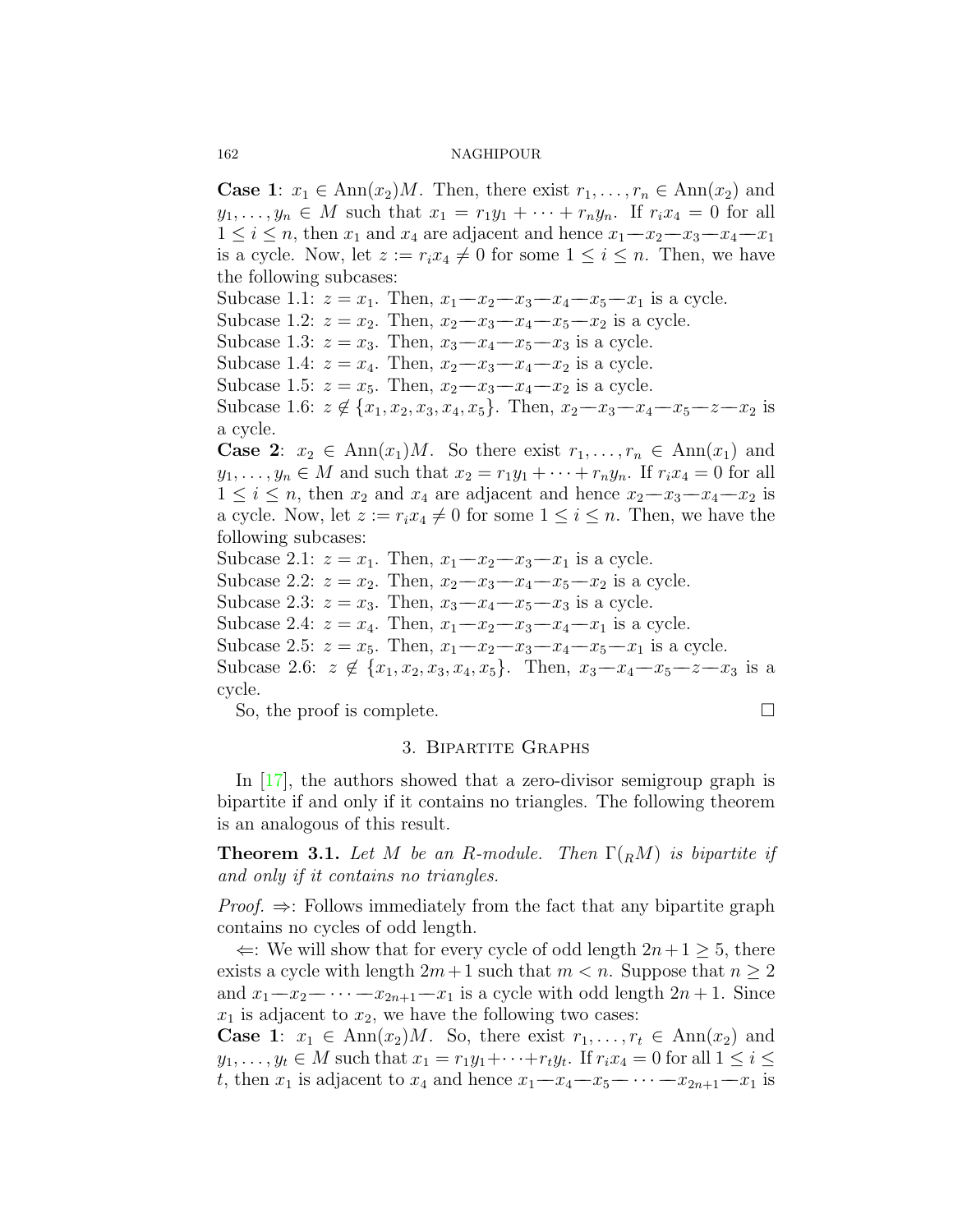**Case 1**:  $x_1 \in \text{Ann}(x_2)M$ . Then, there exist  $r_1, \ldots, r_n \in \text{Ann}(x_2)$  and *y*<sub>1</sub>*,..., y<sub>n</sub>*  $\in$  *M* such that  $x_1 = r_1y_1 + \cdots + r_ny_n$ . If  $r_ix_4 = 0$  for all 1 ≤ *i* ≤ *n*, then *x*<sub>1</sub> and *x*<sub>4</sub> are adjacent and hence  $x_1 - x_2 - x_3 - x_4 - x_1$ is a cycle. Now, let  $z := r_i x_4 \neq 0$  for some  $1 \leq i \leq n$ . Then, we have the following subcases: Subcase 1.1:  $z = x_1$ . Then,  $x_1 - x_2 - x_3 - x_4 - x_5 - x_1$  is a cycle. Subcase 1.2:  $z = x_2$ . Then,  $x_2 - x_3 - x_4 - x_5 - x_2$  is a cycle. Subcase 1.3:  $z = x_3$ . Then,  $x_3 - x_4 - x_5 - x_3$  is a cycle. Subcase 1.4:  $z = x_4$ . Then,  $x_2 - x_3 - x_4 - x_2$  is a cycle. Subcase 1.5:  $z = x_5$ . Then,  $x_2 - x_3 - x_4 - x_2$  is a cycle. Subcase 1.6:  $z \notin \{x_1, x_2, x_3, x_4, x_5\}$ . Then,  $x_2 - x_3 - x_4 - x_5 - x_2 - x_2$  is a cycle. **Case 2**:  $x_2 \in \text{Ann}(x_1)M$ . So there exist  $r_1, \ldots, r_n \in \text{Ann}(x_1)$  and  $y_1, \ldots, y_n \in M$  and such that  $x_2 = r_1y_1 + \cdots + r_ny_n$ . If  $r_ix_4 = 0$  for all  $1 \leq i \leq n$ , then  $x_2$  and  $x_4$  are adjacent and hence  $x_2 - x_3 - x_4 - x_2$  is a cycle. Now, let  $z := r_i x_4 \neq 0$  for some  $1 \leq i \leq n$ . Then, we have the following subcases: Subcase 2.1:  $z = x_1$ . Then,  $x_1 - x_2 - x_3 - x_1$  is a cycle. Subcase 2.2:  $z = x_2$ . Then,  $x_2 - x_3 - x_4 - x_5 - x_2$  is a cycle. Subcase 2.3:  $z = x_3$ . Then,  $x_3 - x_4 - x_5 - x_3$  is a cycle. Subcase 2.4:  $z = x_4$ . Then,  $x_1 - x_2 - x_3 - x_4 - x_1$  is a cycle. Subcase 2.5:  $z = x_5$ . Then,  $x_1 - x_2 - x_3 - x_4 - x_5 - x_1$  is a cycle. Subcase 2.6:  $z \notin \{x_1, x_2, x_3, x_4, x_5\}$ . Then,  $x_3 - x_4 - x_5 - z - x_3$  is a cycle.

So, the proof is complete.  $\Box$ 

# 3. Bipartite Graphs

In [\[17\]](#page-16-20), the authors showed that a zero-divisor semigroup graph is bipartite if and only if it contains no triangles. The following theorem is an analogous of this result.

<span id="page-7-0"></span>**Theorem 3.1.** Let *M* be an *R*-module. Then  $\Gamma(RM)$  is bipartite if *and only if it contains no triangles.*

*Proof.* ⇒: Follows immediately from the fact that any bipartite graph contains no cycles of odd length.

*⇐*: We will show that for every cycle of odd length 2*n*+ 1 *≥* 5, there exists a cycle with length  $2m+1$  such that  $m < n$ . Suppose that  $n \geq 2$ and  $x_1 - x_2 - \cdots - x_{2n+1} - x_1$  is a cycle with odd length  $2n + 1$ . Since  $x_1$  is adjacent to  $x_2$ , we have the following two cases:

**Case 1**:  $x_1 \in \text{Ann}(x_2)M$ . So, there exist  $r_1, \ldots, r_t \in \text{Ann}(x_2)$  and *y*<sub>1</sub>*,..., y*<sub>*t*</sub>  $\in$  *M* such that *x*<sub>1</sub> = *r*<sub>1</sub>*y*<sub>1</sub>+····+*r*<sub>*t*</sub>*y*<sub>*t*</sub>. If *r*<sub>*i*</sub>*x*<sub>4</sub> = 0 for all 1 ≤ *i* ≤ *t*, then *x*<sub>1</sub> is adjacent to *x*<sub>4</sub> and hence  $x_1 - x_4 - x_5 - \cdots - x_{2n+1} - x_1$  is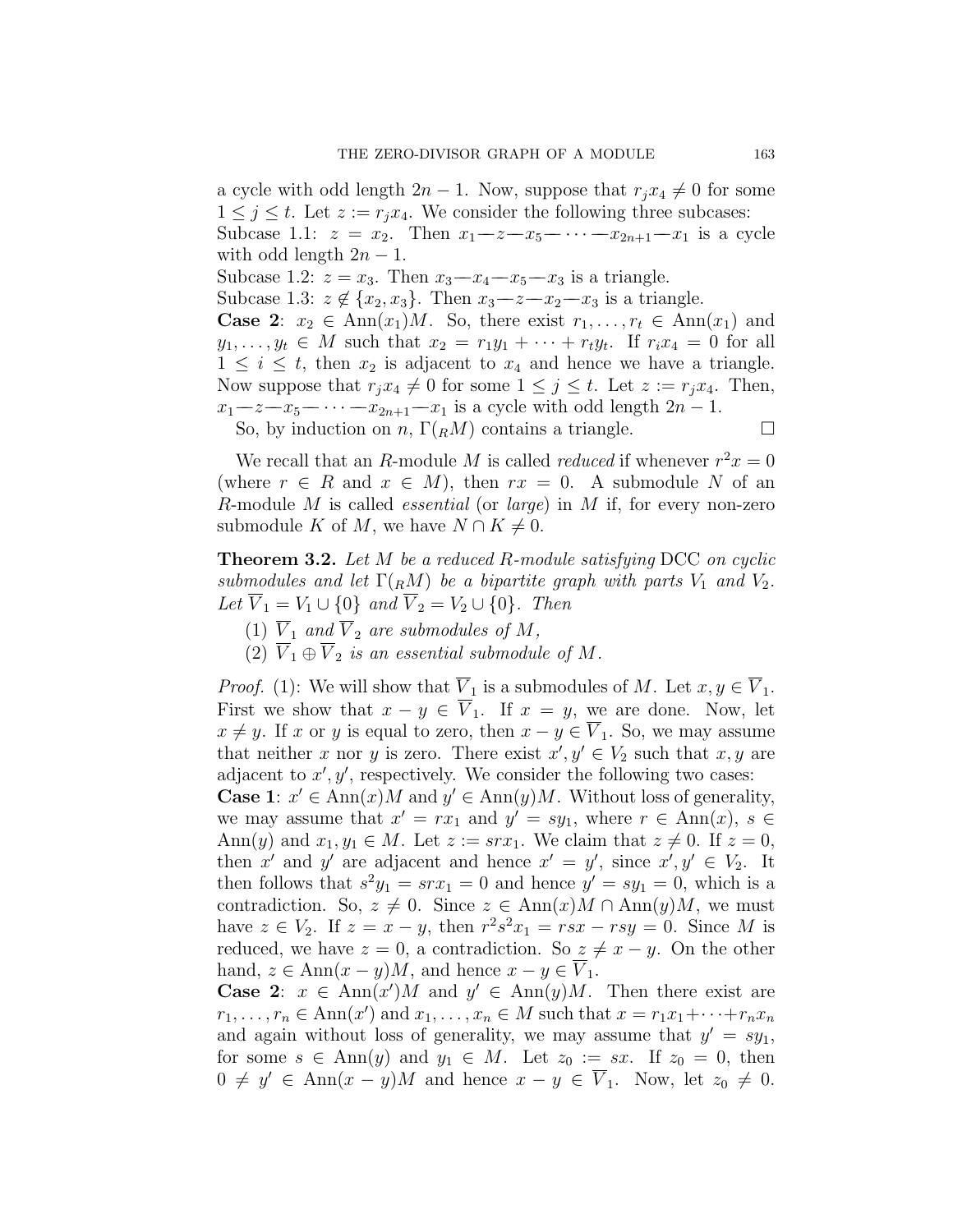a cycle with odd length  $2n - 1$ . Now, suppose that  $r_i x_4 \neq 0$  for some  $1 \leq j \leq t$ . Let  $z := r_j x_4$ . We consider the following three subcases: Subcase 1.1:  $z = x_2$ . Then  $x_1 - z - x_5 - \cdots - x_{2n+1} - x_1$  is a cycle with odd length  $2n - 1$ .

Subcase 1.2:  $z = x_3$ . Then  $x_3 - x_4 - x_5 - x_3$  is a triangle.

Subcase 1.3:  $z \notin \{x_2, x_3\}$ . Then  $x_3 - z - x_2 - x_3$  is a triangle.

**Case 2**:  $x_2 \in \text{Ann}(x_1)M$ . So, there exist  $r_1, \ldots, r_t \in \text{Ann}(x_1)$  and  $y_1, \ldots, y_t \in M$  such that  $x_2 = r_1y_1 + \cdots + r_ty_t$ . If  $r_ix_4 = 0$  for all  $1 \leq i \leq t$ , then  $x_2$  is adjacent to  $x_4$  and hence we have a triangle. Now suppose that  $r_j x_4 \neq 0$  for some  $1 \leq j \leq t$ . Let  $z := r_j x_4$ . Then,  $x_1$ − $z$ − $x_5$ − $\cdots$ − $x_{2n+1}$ − $x_1$  is a cycle with odd length 2*n* − 1.

So, by induction on *n*,  $\Gamma(RM)$  contains a triangle.  $\Box$ 

We recall that an *R*-module *M* is called *reduced* if whenever  $r^2x = 0$ (where  $r \in R$  and  $x \in M$ ), then  $rx = 0$ . A submodule N of an *R*-module *M* is called *essential* (or *large*) in *M* if, for every non-zero submodule *K* of *M*, we have  $N \cap K \neq 0$ .

**Theorem 3.2.** *Let M be a reduced R-module satisfying* DCC *on cyclic submodules and let*  $\Gamma(RM)$  *be a bipartite graph with parts*  $V_1$  *and*  $V_2$ *. Let*  $\overline{V}_1 = V_1 \cup \{0\}$  *and*  $\overline{V}_2 = V_2 \cup \{0\}$ *. Then* 

- (1)  $\overline{V}_1$  *and*  $\overline{V}_2$  *are submodules of M,*
- $\overline{V}_1 \oplus \overline{V}_2$  *is an essential submodule of M.*

*Proof.* (1): We will show that  $\overline{V}_1$  is a submodules of *M*. Let  $x, y \in \overline{V}_1$ . First we show that  $x - y \in \overline{V}_1$ . If  $x = y$ , we are done. Now, let *x* ≠ *y*. If *x* or *y* is equal to zero, then  $x - y \in V_1$ . So, we may assume that neither *x* nor *y* is zero. There exist  $x', y' \in V_2$  such that  $x, y$  are adjacent to  $x'$ ,  $y'$ , respectively. We consider the following two cases:

**Case 1**:  $x' \in \text{Ann}(x)M$  and  $y' \in \text{Ann}(y)M$ . Without loss of generality, we may assume that  $x' = rx_1$  and  $y' = sy_1$ , where  $r \in Ann(x)$ ,  $s \in$ Ann(*y*) and  $x_1, y_1 \in M$ . Let  $z := srx_1$ . We claim that  $z \neq 0$ . If  $z = 0$ , then *x'* and *y'* are adjacent and hence  $x' = y'$ , since  $x', y' \in V_2$ . It then follows that  $s^2y_1 = srx_1 = 0$  and hence  $y' = sy_1 = 0$ , which is a contradiction. So,  $z \neq 0$ . Since  $z \in \text{Ann}(x)M \cap \text{Ann}(y)M$ , we must have  $z \in V_2$ . If  $z = x - y$ , then  $r^2 s^2 x_1 = rsx - rsy = 0$ . Since *M* is reduced, we have  $z = 0$ , a contradiction. So  $z \neq x - y$ . On the other hand,  $z \in \text{Ann}(x - y)M$ , and hence  $x - y \in V_1$ .

**Case 2**:  $x \in \text{Ann}(x')M$  and  $y' \in \text{Ann}(y)M$ . Then there exist are  $r_1, \ldots, r_n \in \text{Ann}(x') \text{ and } x_1, \ldots, x_n \in M \text{ such that } x = r_1 x_1 + \cdots + r_n x_n$ and again without loss of generality, we may assume that  $y' = sy_1$ , for some  $s \in Ann(y)$  and  $y_1 \in M$ . Let  $z_0 := sx$ . If  $z_0 = 0$ , then  $0 \neq y' \in \text{Ann}(x - y)M$  and hence  $x - y \in V_1$ . Now, let  $z_0 \neq 0$ .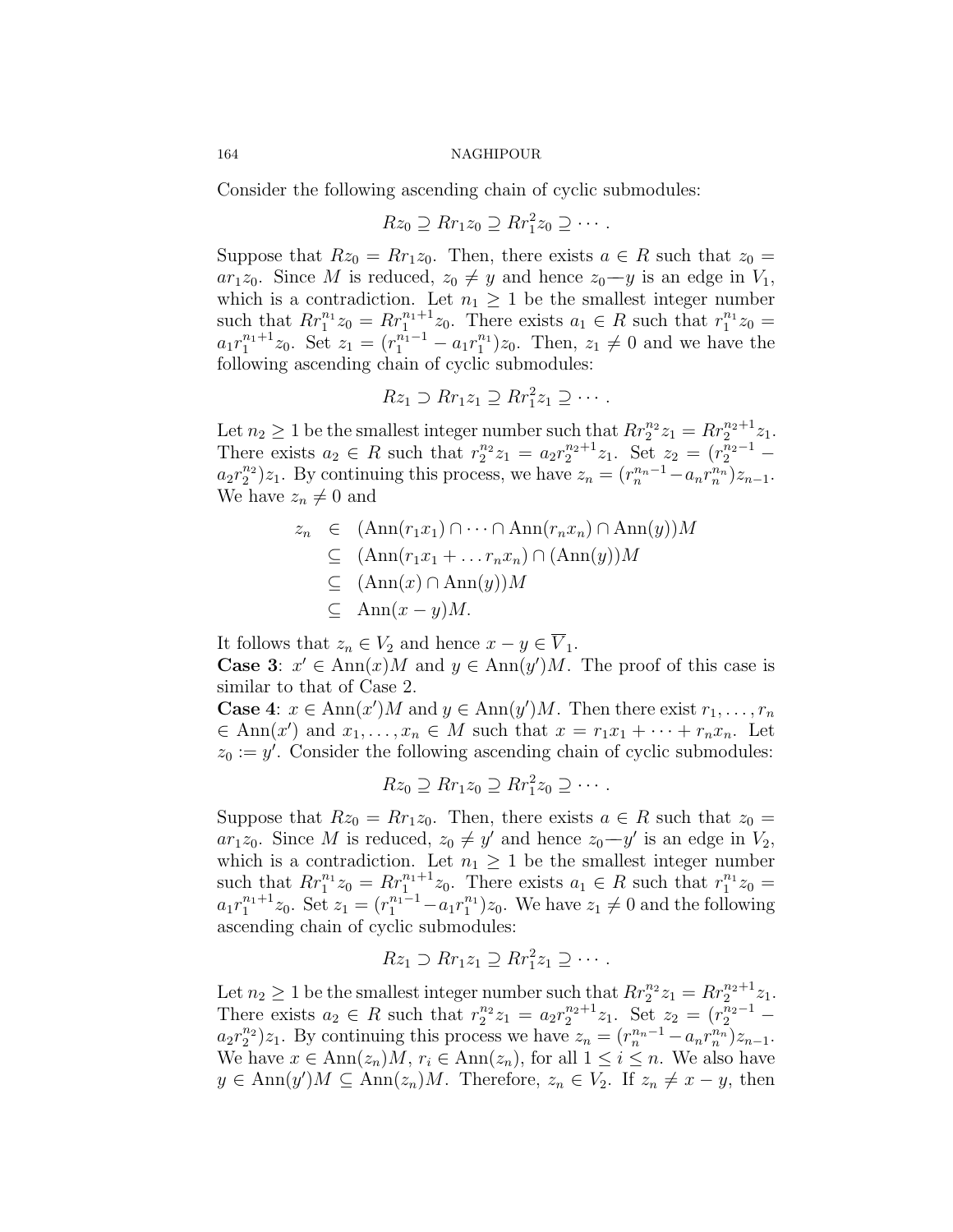Consider the following ascending chain of cyclic submodules:

$$
Rz_0 \supseteq Rr_1z_0 \supseteq Rr_1^2z_0 \supseteq \cdots.
$$

Suppose that  $Rz_0 = Rr_1z_0$ . Then, there exists  $a \in R$  such that  $z_0 =$ *ar*<sub>1</sub>*z*<sub>0</sub>. Since *M* is reduced,  $z_0 \neq y$  and hence  $z_0 - y$  is an edge in  $V_1$ , which is a contradiction. Let  $n_1 \geq 1$  be the smallest integer number such that  $Rr_1^{n_1}z_0 = Rr_1^{n_1+1}z_0$ . There exists  $a_1 \in R$  such that  $r_1^{n_1}z_0 =$  $a_1 r_1^{n_1+1} z_0$ . Set  $z_1 = (r_1^{n_1-1} - a_1 r_1^{n_1}) z_0$ . Then,  $z_1 \neq 0$  and we have the following ascending chain of cyclic submodules:

$$
Rz_1 \supset Rr_1z_1 \supseteq Rr_1^2z_1 \supseteq \cdots.
$$

Let  $n_2 \geq 1$  be the smallest integer number such that  $Rr_2^{n_2}z_1 = Rr_2^{n_2+1}z_1$ . There exists  $a_2 \in R$  such that  $r_2^{n_2} z_1 = a_2 r_2^{n_2+1} z_1$ . Set  $z_2 = (r_2^{\overline{n}_2-1}$  $a_2r_2^{n_2}$ ) $z_1$ . By continuing this process, we have  $z_n = (r_n^{n_n-1} - a_n r_n^{n_n})z_{n-1}$ . We have  $z_n \neq 0$  and

$$
z_n \in (\text{Ann}(r_1x_1) \cap \cdots \cap \text{Ann}(r_nx_n) \cap \text{Ann}(y))M
$$
  
\n
$$
\subseteq (\text{Ann}(r_1x_1 + \dots r_nx_n) \cap (\text{Ann}(y))M
$$
  
\n
$$
\subseteq (\text{Ann}(x) \cap \text{Ann}(y))M
$$
  
\n
$$
\subseteq \text{Ann}(x - y)M.
$$

It follows that  $z_n \in V_2$  and hence  $x - y \in V_1$ . **Case 3**:  $x' \in Ann(x)M$  and  $y \in Ann(y')M$ . The proof of this case is similar to that of Case 2.

**Case** 4:  $x \in \text{Ann}(x')M$  and  $y \in \text{Ann}(y')M$ . Then there exist  $r_1, \ldots, r_n$  $\in$  Ann $(x')$  and  $x_1, \ldots, x_n \in M$  such that  $x = r_1x_1 + \cdots + r_nx_n$ . Let  $z_0 := y'$ . Consider the following ascending chain of cyclic submodules:

$$
Rz_0 \supseteq Rr_1z_0 \supseteq Rr_1^2z_0 \supseteq \cdots.
$$

Suppose that  $Rz_0 = Rr_1z_0$ . Then, there exists  $a \in R$  such that  $z_0 =$ *ar*<sub>1</sub>*z*<sub>0</sub>. Since *M* is reduced,  $z_0 \neq y'$  and hence  $z_0-y'$  is an edge in  $V_2$ , which is a contradiction. Let  $n_1 \geq 1$  be the smallest integer number such that  $Rr_1^{n_1}z_0 = Rr_1^{n_1+1}z_0$ . There exists  $a_1 \in R$  such that  $r_1^{n_1}z_0 =$  $a_1 r_1^{n_1+1} z_0$ . Set  $z_1 = (r_1^{n_1-1} - a_1 r_1^{n_1}) z_0$ . We have  $z_1 \neq 0$  and the following ascending chain of cyclic submodules:

$$
Rz_1 \supset Rr_1z_1 \supseteq Rr_1^2z_1 \supseteq \cdots.
$$

Let  $n_2 \geq 1$  be the smallest integer number such that  $Rr_2^{n_2}z_1 = Rr_2^{n_2+1}z_1$ . There exists  $a_2 \in R$  such that  $r_2^{n_2} z_1 = a_2 r_2^{n_2+1} z_1$ . Set  $z_2 = (r_2^{\overline{n}_2-1}$  $a_2r_2^{n_2}$ ) $z_1$ . By continuing this process we have  $z_n = (r_n^{n_n-1} - a_n r_n^{n_n})z_{n-1}$ . We have  $x \in \text{Ann}(z_n)M$ ,  $r_i \in \text{Ann}(z_n)$ , for all  $1 \leq i \leq n$ . We also have *y* ∈ Ann $(y')M$  ⊆ Ann $(z_n)M$ . Therefore,  $z_n$  ∈  $V_2$ . If  $z_n \neq x - y$ , then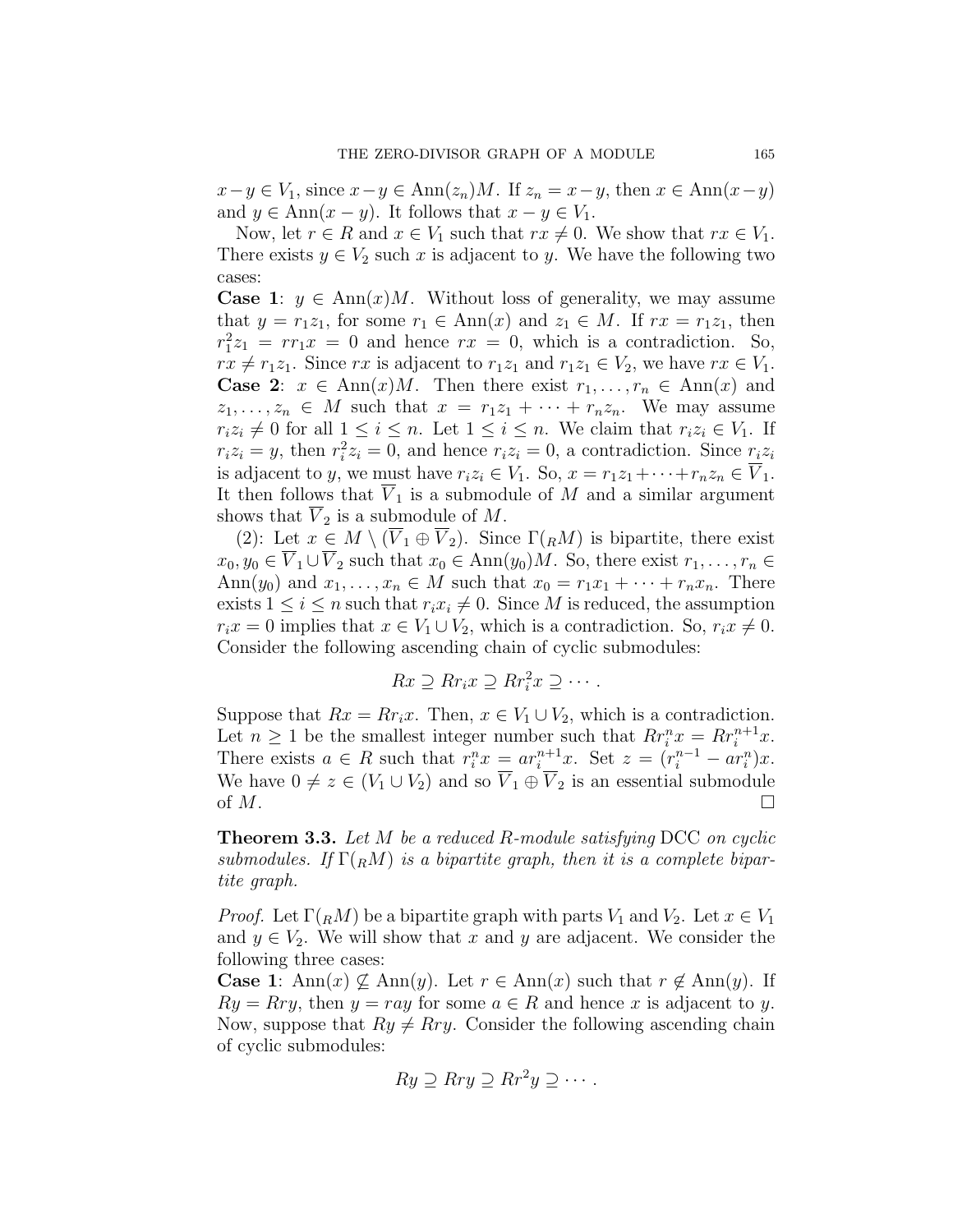$x - y \in V_1$ , since  $x - y \in Ann(z_n)M$ . If  $z_n = x - y$ , then  $x \in Ann(x - y)$ and  $y \in \text{Ann}(x - y)$ . It follows that  $x - y \in V_1$ .

Now, let  $r \in R$  and  $x \in V_1$  such that  $rx \neq 0$ . We show that  $rx \in V_1$ . There exists  $y \in V_2$  such  $x$  is adjacent to  $y$ . We have the following two cases:

**Case 1**:  $y \in \text{Ann}(x)M$ . Without loss of generality, we may assume that  $y = r_1z_1$ , for some  $r_1 \in Ann(x)$  and  $z_1 \in M$ . If  $rx = r_1z_1$ , then  $r_1^2 z_1 = r r_1 x = 0$  and hence  $r x = 0$ , which is a contradiction. So,  $rx \neq r_1z_1$ . Since *rx* is adjacent to  $r_1z_1$  and  $r_1z_1 \in V_2$ , we have  $rx \in V_1$ . **Case 2:**  $x \in \text{Ann}(x)M$ . Then there exist  $r_1, \ldots, r_n \in \text{Ann}(x)$  and  $z_1, \ldots, z_n \in M$  such that  $x = r_1z_1 + \cdots + r_nz_n$ . We may assume  $r_i z_i \neq 0$  for all  $1 \leq i \leq n$ . Let  $1 \leq i \leq n$ . We claim that  $r_i z_i \in V_1$ . If  $r_i z_i = y$ , then  $r_i^2 z_i = 0$ , and hence  $r_i z_i = 0$ , a contradiction. Since  $r_i z_i$ is adjacent to *y*, we must have  $r_i z_i \in V_1$ . So,  $x = r_1 z_1 + \cdots + r_n z_n \in \overline{V}_1$ . It then follows that  $\overline{V}_1$  is a submodule of *M* and a similar argument shows that  $V_2$  is a submodule of M.

(2): Let  $x \in M \setminus (\overline{V}_1 \oplus \overline{V}_2)$ . Since  $\Gamma(RM)$  is bipartite, there exist  $x_0, y_0 \in \overline{V}_1 \cup \overline{V}_2$  such that  $x_0 \in \text{Ann}(y_0)M$ . So, there exist  $r_1, \ldots, r_n \in$ Ann( $y_0$ ) and  $x_1, \ldots, x_n \in M$  such that  $x_0 = r_1x_1 + \cdots + r_nx_n$ . There exists  $1 \leq i \leq n$  such that  $r_i x_i \neq 0$ . Since *M* is reduced, the assumption  $r_i x = 0$  implies that  $x \in V_1 \cup V_2$ , which is a contradiction. So,  $r_i x \neq 0$ . Consider the following ascending chain of cyclic submodules:

$$
Rx \supseteq Rr_i x \supseteq Rr_i^2 x \supseteq \cdots.
$$

Suppose that  $Rx = Rr_i x$ . Then,  $x \in V_1 \cup V_2$ , which is a contradiction. Let  $n \geq 1$  be the smallest integer number such that  $Rr_i^n x = Rr_i^{n+1}x$ . There exists  $a \in R$  such that  $r_i^n x = ar_i^{n+1}x$ . Set  $z = (r_i^{n-1} - ar_i^n)x$ . We have  $0 \neq z \in (V_1 \cup V_2)$  and so  $\overline{V}_1 \oplus \overline{V}_2$  is an essential submodule of  $M$ .

<span id="page-10-0"></span>**Theorem 3.3.** *Let M be a reduced R-module satisfying* DCC *on cyclic submodules.* If  $\Gamma(RM)$  *is a bipartite graph, then it is a complete bipartite graph.*

*Proof.* Let  $\Gamma(RM)$  be a bipartite graph with parts  $V_1$  and  $V_2$ . Let  $x \in V_1$ and  $y \in V_2$ . We will show that *x* and *y* are adjacent. We consider the following three cases:

**Case 1**: Ann(*x*)  $\varphi$  Ann(*y*). Let *r* ∈ Ann(*x*) such that  $r \notin \text{Ann}(y)$ . If  $Ry = Rry$ , then  $y = ray$  for some  $a \in R$  and hence *x* is adjacent to *y*. Now, suppose that  $Ry \neq Rry$ . Consider the following ascending chain of cyclic submodules:

$$
Ry \supseteq Rry \supseteq Rr^2y \supseteq \cdots.
$$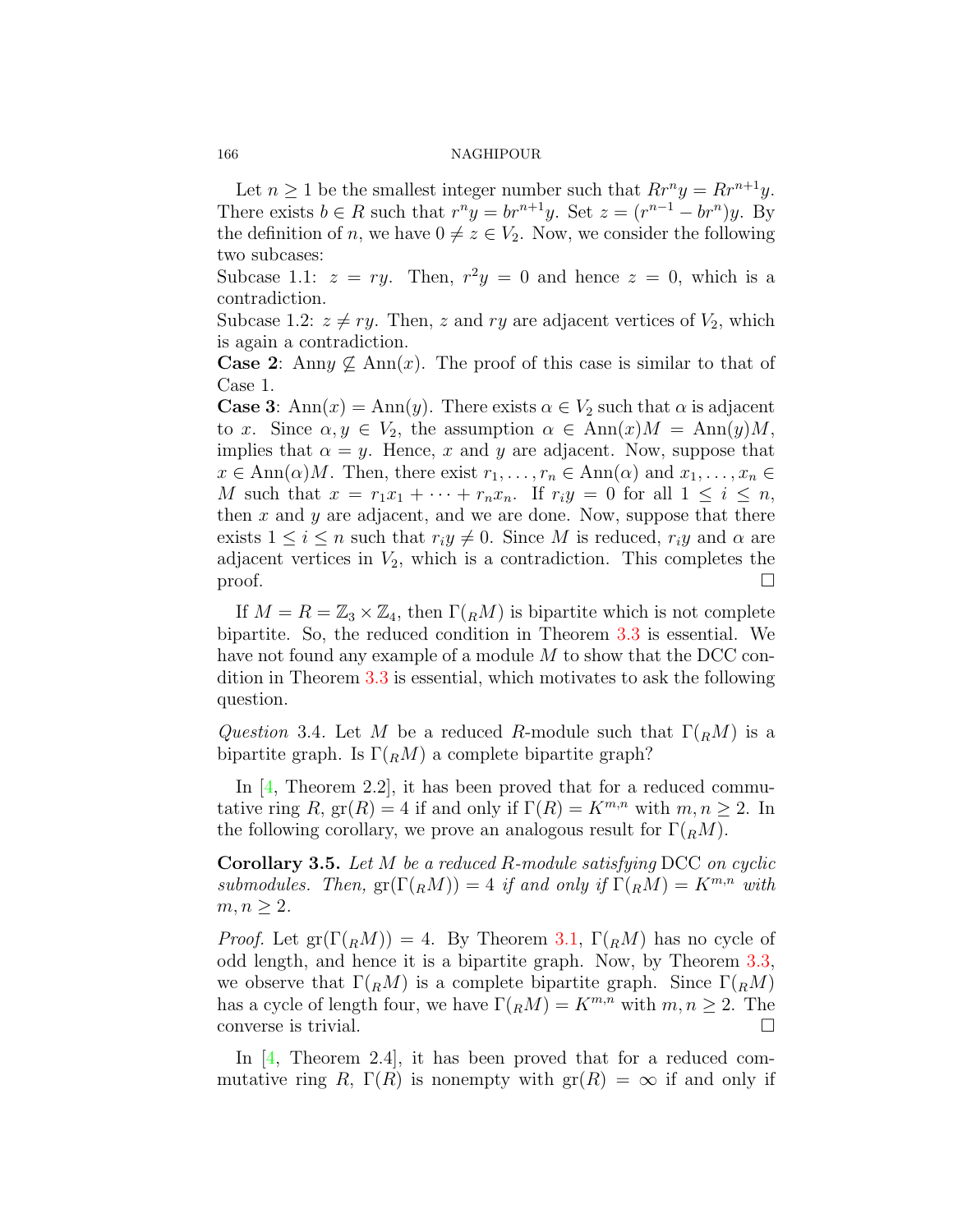Let  $n \geq 1$  be the smallest integer number such that  $Rr^n y = Rr^{n+1}y$ . There exists  $b \in R$  such that  $r^n y = br^{n+1}y$ . Set  $z = (r^{n-1} - br^n)y$ . By the definition of *n*, we have  $0 \neq z \in V_2$ . Now, we consider the following two subcases:

Subcase 1.1:  $z = ry$ . Then,  $r^2y = 0$  and hence  $z = 0$ , which is a contradiction.

Subcase 1.2:  $z \neq ry$ . Then, *z* and *ry* are adjacent vertices of  $V_2$ , which is again a contradiction.

**Case 2**: Anny  $\mathcal{L}$  Ann(*x*). The proof of this case is similar to that of Case 1.

**Case 3**: Ann $(x) = \text{Ann}(y)$ . There exists  $\alpha \in V_2$  such that  $\alpha$  is adjacent to *x*. Since  $\alpha, y \in V_2$ , the assumption  $\alpha \in \text{Ann}(x)M = \text{Ann}(y)M$ , implies that  $\alpha = y$ . Hence, x and y are adjacent. Now, suppose that  $x \in \text{Ann}(\alpha)M$ . Then, there exist  $r_1, \ldots, r_n \in \text{Ann}(\alpha)$  and  $x_1, \ldots, x_n \in$ *M* such that  $x = r_1x_1 + \cdots + r_nx_n$ . If  $r_iy = 0$  for all  $1 \leq i \leq n$ , then *x* and *y* are adjacent, and we are done. Now, suppose that there exists  $1 \leq i \leq n$  such that  $r_i y \neq 0$ . Since *M* is reduced,  $r_i y$  and  $\alpha$  are adjacent vertices in  $V_2$ , which is a contradiction. This completes the proof.  $\Box$ 

If  $M = R = \mathbb{Z}_3 \times \mathbb{Z}_4$ , then  $\Gamma(RM)$  is bipartite which is not complete bipartite. So, the reduced condition in Theorem [3.3](#page-10-0) is essential. We have not found any example of a module *M* to show that the DCC condition in Theorem [3.3](#page-10-0) is essential, which motivates to ask the following question.

*Question* 3.4. Let *M* be a reduced *R*-module such that  $\Gamma(RM)$  is a bipartite graph. Is  $\Gamma(RM)$  a complete bipartite graph?

In[[4,](#page-15-3) Theorem 2.2], it has been proved that for a reduced commutative ring *R*,  $\operatorname{gr}(R) = 4$  if and only if  $\Gamma(R) = K^{m,n}$  with  $m, n \geq 2$ . In the following corollary, we prove an analogous result for  $\Gamma(RM)$ .

**Corollary 3.5.** *Let M be a reduced R-module satisfying* DCC *on cyclic submodules.* Then,  $gr(\Gamma({}_RM)) = 4$  *if and only if*  $\Gamma({}_RM) = K^{m,n}$  *with*  $m, n \geq 2$ *.* 

*Proof.* Let  $gr(\Gamma({}_R M)) = 4$ . By Theorem [3.1,](#page-7-0)  $\Gamma({}_R M)$  has no cycle of odd length, and hence it is a bipartite graph. Now, by Theorem [3.3,](#page-10-0) we observe that  $\Gamma({}_R M)$  is a complete bipartite graph. Since  $\Gamma({}_R M)$ has a cycle of length four, we have  $\Gamma(RM) = K^{m,n}$  with  $m, n \geq 2$ . The converse is trivial.  $\Box$ 

In [\[4,](#page-15-3) Theorem 2.4], it has been proved that for a reduced commutative ring *R*,  $\Gamma(R)$  is nonempty with  $\text{gr}(R) = \infty$  if and only if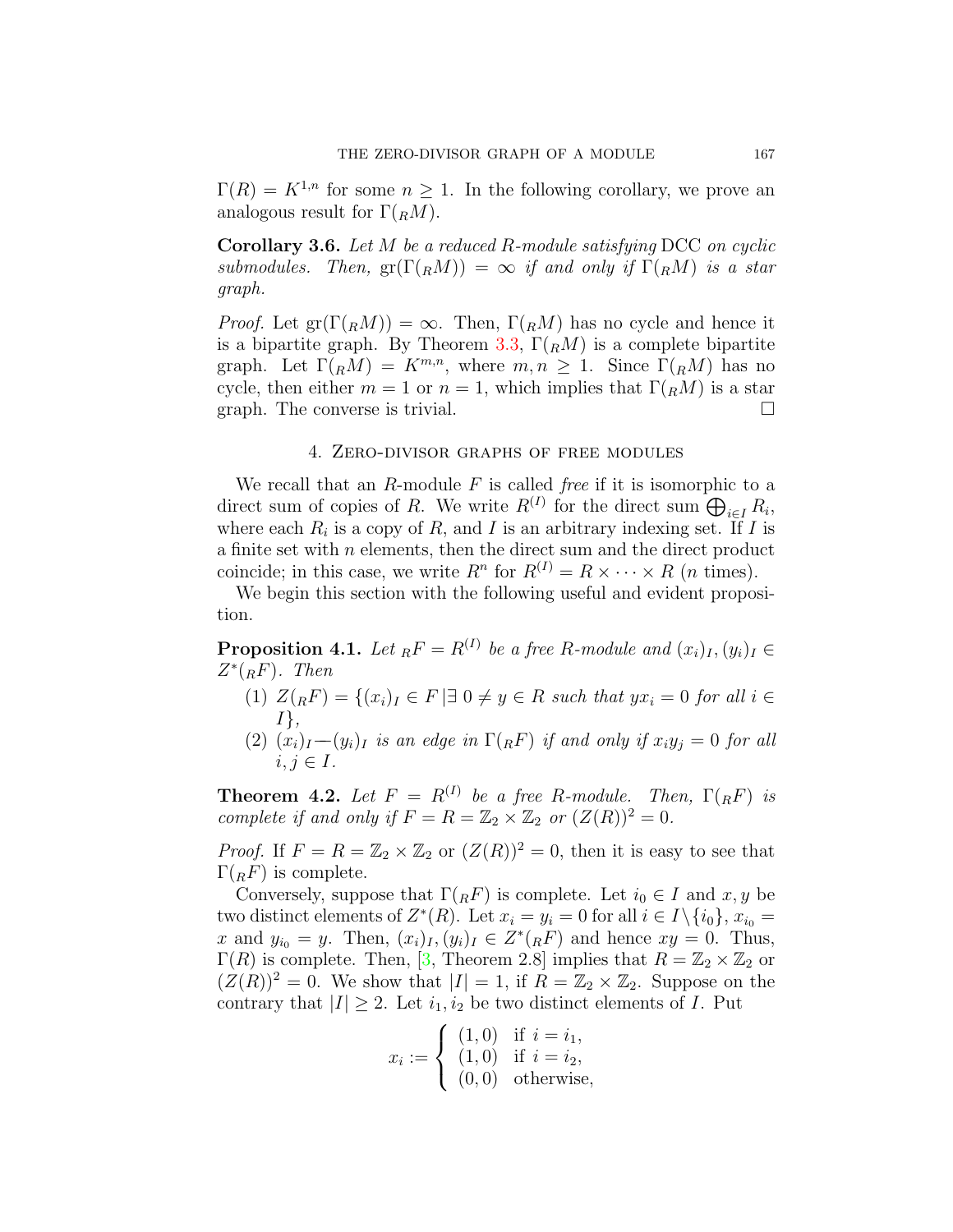$\Gamma(R) = K^{1,n}$  for some  $n \geq 1$ . In the following corollary, we prove an analogous result for  $\Gamma({}_R M)$ .

**Corollary 3.6.** *Let M be a reduced R-module satisfying* DCC *on cyclic submodules.* Then,  $gr(\Gamma({}_RM)) = \infty$  *if and only if*  $\Gamma({}_RM)$  *is a star graph.*

*Proof.* Let  $gr(\Gamma({}_R M)) = \infty$ . Then,  $\Gamma({}_R M)$  has no cycle and hence it is a bipartite graph. By Theorem [3.3](#page-10-0),  $\Gamma(RM)$  is a complete bipartite graph. Let  $\Gamma(RM) = K^{m,n}$ , where  $m, n \geq 1$ . Since  $\Gamma(RM)$  has no cycle, then either  $m = 1$  or  $n = 1$ , which implies that  $\Gamma({}_R M)$  is a star graph. The converse is trivial.  $\Box$ 

# 4. Zero-divisor graphs of free modules

We recall that an *R*-module *F* is called *free* if it is isomorphic to a direct sum of copies of *R*. We write  $R^{(I)}$  for the direct sum  $\bigoplus_{i \in I} R_i$ , where each  $R_i$  is a copy of  $R_i$ , and  $I$  is an arbitrary indexing set. If  $I$  is a finite set with *n* elements, then the direct sum and the direct product coincide; in this case, we write  $R^n$  for  $R^{(I)} = R \times \cdots \times R$  (*n* times).

We begin this section with the following useful and evident proposition.

**Proposition 4.1.** Let  $_R F = R^{(I)}$  be a free R-module and  $(x_i)_I, (y_i)_I \in$ *Z ∗* (*RF*)*. Then*

- (1)  $Z({}_RF) = \{(x_i)_I \in F | \exists 0 \neq y \in R \text{ such that } y x_i = 0 \text{ for all } i \in \mathbb{R}\}$ *I},*
- $(2)$   $(x_i)_I (y_i)_I$  *is an edge in*  $\Gamma(RF)$  *if and only if*  $x_i y_j = 0$  *for all*  $i, j \in I$ .

**Theorem 4.2.** Let  $F = R^{(I)}$  be a free *R-module. Then,*  $\Gamma(RF)$  *is complete if and only if*  $F = R = \mathbb{Z}_2 \times \mathbb{Z}_2$  *or*  $(Z(R))^2 = 0$ *.* 

*Proof.* If  $F = R = \mathbb{Z}_2 \times \mathbb{Z}_2$  or  $(Z(R))^2 = 0$ , then it is easy to see that  $\Gamma(RF)$  is complete.

Conversely, suppose that  $\Gamma(RF)$  is complete. Let  $i_0 \in I$  and  $x, y$  be two distinct elements of  $Z^*(R)$ . Let  $x_i = y_i = 0$  for all  $i \in I \setminus \{i_0\}$ ,  $x_{i_0} =$ *x* and  $y_{i_0} = y$ . Then,  $(x_i)_I, (y_i)_I \in Z^*(RF)$  and hence  $xy = 0$ . Thus,  $\Gamma(R)$  is complete. Then, [\[3,](#page-15-1) Theorem 2.8] implies that  $R = \mathbb{Z}_2 \times \mathbb{Z}_2$  or  $(Z(R))^2 = 0$ . We show that  $|I| = 1$ , if  $R = \mathbb{Z}_2 \times \mathbb{Z}_2$ . Suppose on the contrary that  $|I| \geq 2$ . Let  $i_1, i_2$  be two distinct elements of *I*. Put

$$
x_i := \begin{cases} (1,0) & \text{if } i = i_1, \\ (1,0) & \text{if } i = i_2, \\ (0,0) & \text{otherwise,} \end{cases}
$$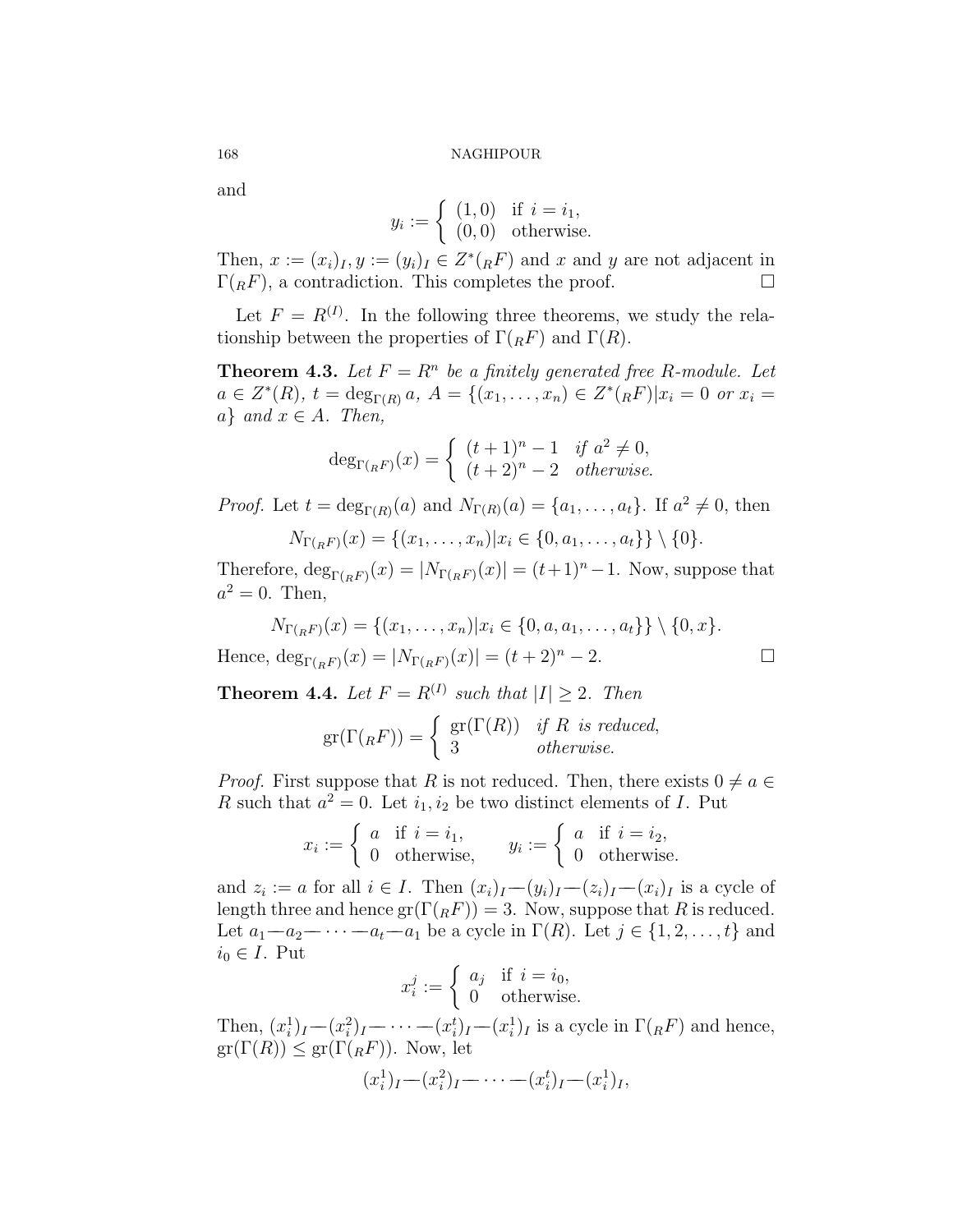and

$$
y_i := \begin{cases} (1,0) & \text{if } i = i_1, \\ (0,0) & \text{otherwise.} \end{cases}
$$

Then,  $x := (x_i)_I, y := (y_i)_I \in Z^*(RF)$  and  $x$  and  $y$  are not adjacent in  $\Gamma(RF)$ , a contradiction. This completes the proof.  $\Box$ 

Let  $F = R^{(I)}$ . In the following three theorems, we study the relationship between the properties of  $\Gamma(R)$  and  $\Gamma(R)$ .

**Theorem 4.3.** Let  $F = R^n$  be a finitely generated free R-module. Let  $a \in Z^*(R)$ ,  $t = \deg_{\Gamma(R)} a$ ,  $A = \{(x_1, \ldots, x_n) \in Z^*(R) | x_i = 0 \text{ or } x_i = 0\}$  $a$ *} and*  $x \in A$ *. Then,* 

$$
\deg_{\Gamma(RF)}(x) = \begin{cases} (t+1)^n - 1 & \text{if } a^2 \neq 0, \\ (t+2)^n - 2 & \text{otherwise.} \end{cases}
$$

*Proof.* Let  $t = \deg_{\Gamma(R)}(a)$  and  $N_{\Gamma(R)}(a) = \{a_1, \ldots, a_t\}$ . If  $a^2 \neq 0$ , then  $N_{\tau}(\tau) = f(x, \tau) - x \ln \tau$  (0, a, a, 1) \ {0}

$$
N_{\Gamma(RF)}(x) = \{(x_1, \ldots, x_n) | x_i \in \{0, a_1, \ldots, a_t\} \} \setminus \{0\}.
$$

Therefore,  $\deg_{\Gamma(RF)}(x) = |N_{\Gamma(RF)}(x)| = (t+1)^n - 1$ . Now, suppose that  $a^2 = 0$ . Then,

$$
N_{\Gamma(RF)}(x) = \{(x_1, \dots, x_n) | x_i \in \{0, a, a_1, \dots, a_t\}\} \setminus \{0, x\}.
$$
  
Hence, 
$$
\deg_{\Gamma(RF)}(x) = |N_{\Gamma(RF)}(x)| = (t+2)^n - 2.
$$

**Theorem 4.4.** Let  $F = R^{(I)}$  such that  $|I| \geq 2$ . Then

$$
\mathrm{gr}(\Gamma({}_RF))=\left\{\begin{array}{ll}\mathrm{gr}(\Gamma(R))&\textit{if }R\textit{ is reduced},\\3&\textit{otherwise}.\end{array}\right.
$$

*Proof.* First suppose that *R* is not reduced. Then, there exists  $0 \neq a \in$ *R* such that  $a^2 = 0$ . Let  $i_1, i_2$  be two distinct elements of *I*. Put

$$
x_i := \begin{cases} a & \text{if } i = i_1, \\ 0 & \text{otherwise,} \end{cases} \qquad y_i := \begin{cases} a & \text{if } i = i_2, \\ 0 & \text{otherwise.} \end{cases}
$$

and  $z_i := a$  for all  $i \in I$ . Then  $(x_i)_I - (y_i)_I - (z_i)_I - (x_i)_I$  is a cycle of length three and hence  $gr(\Gamma({}_R F)) = 3$ . Now, suppose that *R* is reduced. Let  $a_1$ − $a_2$ − $\cdots$ − $a_t$ − $a_1$  be a cycle in  $\Gamma(R)$ . Let  $j \in \{1, 2, \ldots, t\}$  and  $i_0$  ∈ *I*. Put

$$
x_i^j := \begin{cases} a_j & \text{if } i = i_0, \\ 0 & \text{otherwise.} \end{cases}
$$

Then,  $(x_i^1)_I - (x_i^2)_I - \cdots - (x_i^t)_I - (x_i^1)_I$  is a cycle in  $\Gamma({}_R F)$  and hence,  $gr(\Gamma(R)) \leq gr(\Gamma(RF))$ . Now, let

$$
(x_i^1)_I - (x_i^2)_I - \cdots - (x_i^t)_I - (x_i^1)_I,
$$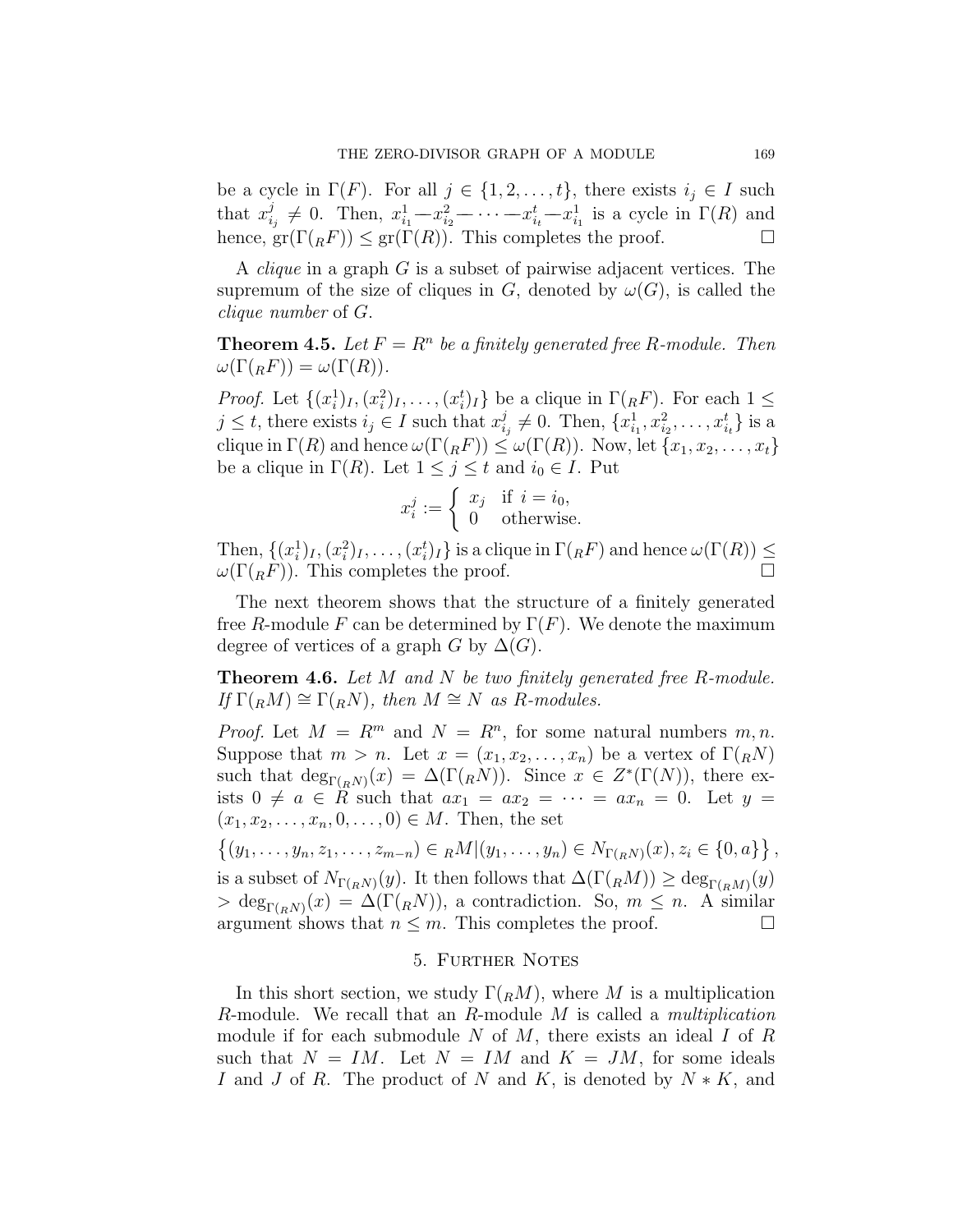be a cycle in  $\Gamma(F)$ . For all  $j \in \{1, 2, \ldots, t\}$ , there exists  $i_j \in I$  such that  $x_i^j$  $\frac{d}{dt} \neq 0$ . Then,  $x_{i_1}^1 - x_{i_2}^2 - \cdots - x_{i_t}^t - x_{i_1}^1$  is a cycle in  $\Gamma(R)$  and hence,  $\text{gr}(\Gamma({}_R F)) \leq \text{gr}(\Gamma(R))$ . This completes the proof.  $\Box$ 

A *clique* in a graph *G* is a subset of pairwise adjacent vertices. The supremum of the size of cliques in *G*, denoted by  $\omega(G)$ , is called the *clique number* of *G*.

**Theorem 4.5.** Let  $F = R^n$  be a finitely generated free R-module. Then  $\omega(\Gamma(RF)) = \omega(\Gamma(R)).$ 

*Proof.* Let  $\{(x_i^1)_I, (x_i^2)_I, \ldots, (x_i^t)_I\}$  be a clique in  $\Gamma(RF)$ . For each  $1 \leq$  $j \leq t$ , there exists  $i_j \in I$  such that  $x_i^j$  $x_{i_j}^j \neq 0$ . Then,  $\{x_{i_1}^1, x_{i_2}^2, \ldots, x_{i_t}^t\}$  is a clique in  $\Gamma(R)$  and hence  $\omega(\Gamma(RF)) \leq \omega(\Gamma(R))$ . Now, let  $\{x_1, x_2, \ldots, x_t\}$ be a clique in  $\Gamma(R)$ . Let  $1 \leq j \leq t$  and  $i_0 \in I$ . Put

$$
x_i^j := \begin{cases} x_j & \text{if } i = i_0, \\ 0 & \text{otherwise.} \end{cases}
$$

Then,  $\{(x_i^1)_I, (x_i^2)_I, \ldots, (x_i^t)_I\}$  is a clique in  $\Gamma({}_RF)$  and hence  $\omega(\Gamma(R)) \le$  $\omega(\Gamma(RF))$ . This completes the proof. □

The next theorem shows that the structure of a finitely generated free *R*-module *F* can be determined by  $\Gamma(F)$ . We denote the maximum degree of vertices of a graph *G* by  $\Delta(G)$ .

**Theorem 4.6.** *Let M and N be two finitely generated free R-module.*  $If \Gamma(RM) \cong \Gamma(RN)$ , then  $M \cong N$  *as R-modules.* 

*Proof.* Let  $M = R^m$  and  $N = R^n$ , for some natural numbers  $m, n$ . Suppose that  $m > n$ . Let  $x = (x_1, x_2, \ldots, x_n)$  be a vertex of  $\Gamma(nN)$ such that  $\deg_{\Gamma(R^N)}(x) = \Delta(\Gamma(R^N))$ . Since  $x \in Z^*(\Gamma(N))$ , there exists  $0 \neq a \in R$  such that  $ax_1 = ax_2 = \cdots = ax_n = 0$ . Let  $y =$  $(x_1, x_2, \ldots, x_n, 0, \ldots, 0) \in M$ . Then, the set

 $\{(y_1, \ldots, y_n, z_1, \ldots, z_{m-n}) \in {}_R M | (y_1, \ldots, y_n) \in N_{\Gamma(R^N)}(x), z_i \in \{0, a\}\}\,$ is a subset of  $N_{\Gamma(R)}(y)$ . It then follows that  $\Delta(\Gamma(RM)) \ge \deg_{\Gamma(RM)}(y)$  $>$  deg<sub> $\Gamma(RN)(x) = \Delta(\Gamma(RN))$ , a contradiction. So,  $m \leq n$ . A similar</sub> argument shows that  $n \leq m$ . This completes the proof.  $\Box$ 

# 5. Further Notes

In this short section, we study  $\Gamma({}_R{M})$ , where *M* is a multiplication *R*-module. We recall that an *R*-module *M* is called a *multiplication* module if for each submodule *N* of *M*, there exists an ideal *I* of *R* such that  $N = IM$ . Let  $N = IM$  and  $K = JM$ , for some ideals *I* and *J* of *R*. The product of *N* and *K*, is denoted by *N ∗ K*, and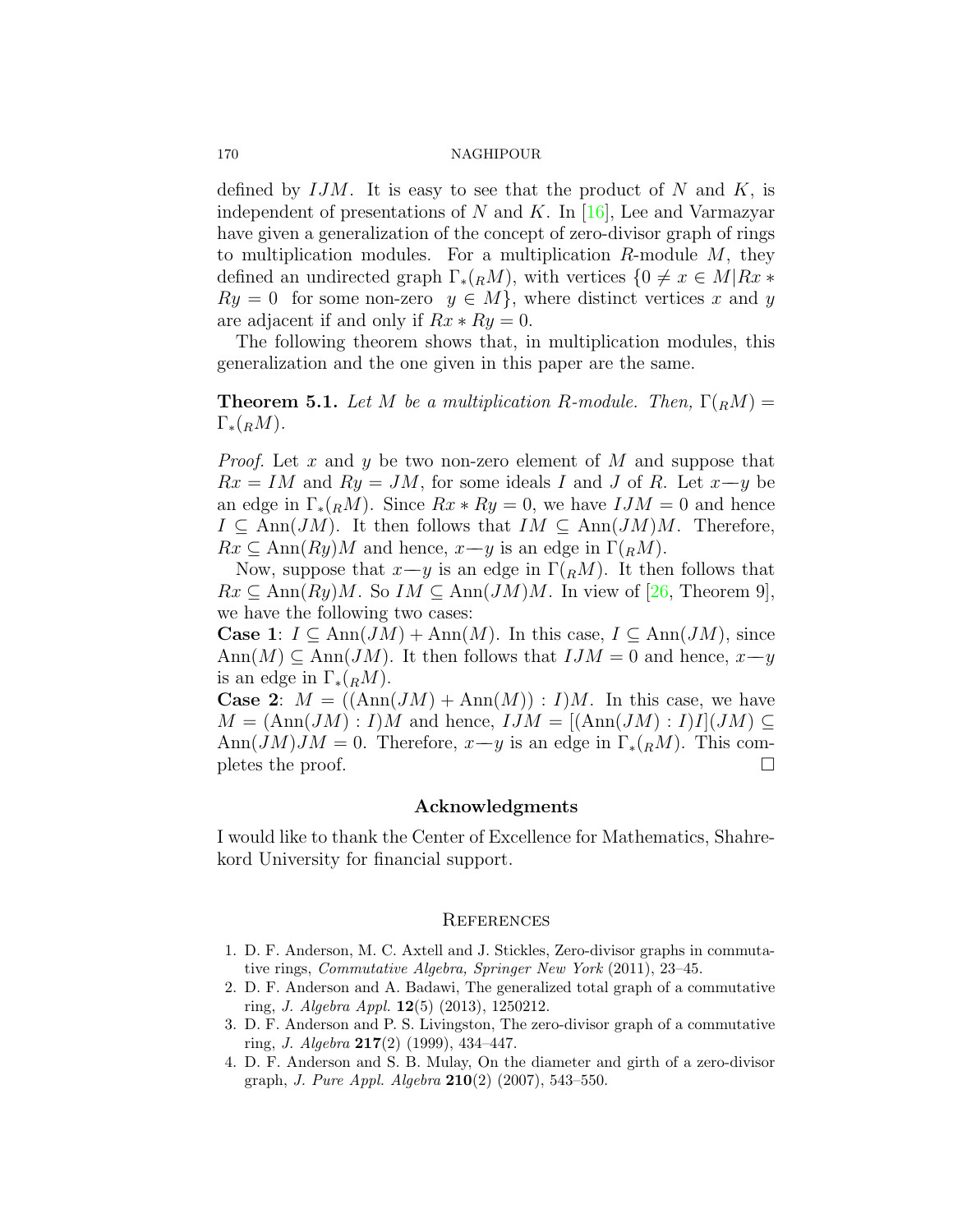defined by *IJM*. It is easy to see that the product of *N* and *K*, is independent of presentations of *N* and *K*. In[[16\]](#page-16-13), Lee and Varmazyar have given a generalization of the concept of zero-divisor graph of rings to multiplication modules. For a multiplication *R*-module *M*, they defined an undirected graph  $\Gamma_*(R^M)$ , with vertices  $\{0 \neq x \in M | Rx \neq 0\}$  $Ry = 0$  for some non-zero  $y \in M$ , where distinct vertices *x* and *y* are adjacent if and only if  $Rx * Ry = 0$ .

The following theorem shows that, in multiplication modules, this generalization and the one given in this paper are the same.

**Theorem 5.1.** *Let M be a multiplication R-module. Then,*  $\Gamma(RM)$  =  $\Gamma_*(<sub>R</sub>M)$ .

*Proof.* Let *x* and *y* be two non-zero element of *M* and suppose that  $Rx = IM$  and  $Ry = JM$ , for some ideals *I* and *J* of *R*. Let  $x \rightarrow y$  be an edge in  $\Gamma_*(<sub>R</sub>M)$ . Since  $Rx * Ry = 0$ , we have  $IJM = 0$  and hence  $I \subseteq \text{Ann}(JM)$ . It then follows that  $IM \subseteq \text{Ann}(JM)M$ . Therefore,  $Rx \subseteq \text{Ann}(Ry)M$  and hence,  $x \rightarrow y$  is an edge in  $\Gamma(RM)$ .

Now, suppose that  $x-y$  is an edge in  $\Gamma(RM)$ . It then follows that  $Rx \subseteq \text{Ann}(Ry)M$  $Rx \subseteq \text{Ann}(Ry)M$  $Rx \subseteq \text{Ann}(Ry)M$ . So  $IM \subseteq \text{Ann}(JM)M$ . In view of [[26,](#page-16-21) Theorem 9], we have the following two cases:

**Case 1**:  $I \subseteq \text{Ann}(JM) + \text{Ann}(M)$ . In this case,  $I \subseteq \text{Ann}(JM)$ , since  $\text{Ann}(M) \subseteq \text{Ann}(JM)$ . It then follows that  $IJM = 0$  and hence,  $x \rightarrow y$ is an edge in  $\Gamma_*(<sub>R</sub>M)$ .

**Case 2:**  $M = ((\text{Ann}(JM) + \text{Ann}(M)) : I)M$ . In this case, we have  $M = (\text{Ann}(JM) : I)M$  and hence,  $IJM = [(\text{Ann}(JM) : I)I](JM)$ Ann $(JM)JM = 0$ . Therefore,  $x-y$  is an edge in  $\Gamma_*(R^M)$ . This completes the proof. pletes the proof.

# **Acknowledgments**

I would like to thank the Center of Excellence for Mathematics, Shahrekord University for financial support.

## **REFERENCES**

- <span id="page-15-2"></span>1. D. F. Anderson, M. C. Axtell and J. Stickles, Zero-divisor graphs in commutative rings, *Commutative Algebra, Springer New York* (2011), 23–45.
- <span id="page-15-0"></span>2. D. F. Anderson and A. Badawi, The generalized total graph of a commutative ring, *J. Algebra Appl.* **12**(5) (2013), 1250212.
- <span id="page-15-1"></span>3. D. F. Anderson and P. S. Livingston, The zero-divisor graph of a commutative ring, *J. Algebra* **217**(2) (1999), 434–447.
- <span id="page-15-3"></span>4. D. F. Anderson and S. B. Mulay, On the diameter and girth of a zero-divisor graph, *J. Pure Appl. Algebra* **210**(2) (2007), 543–550.